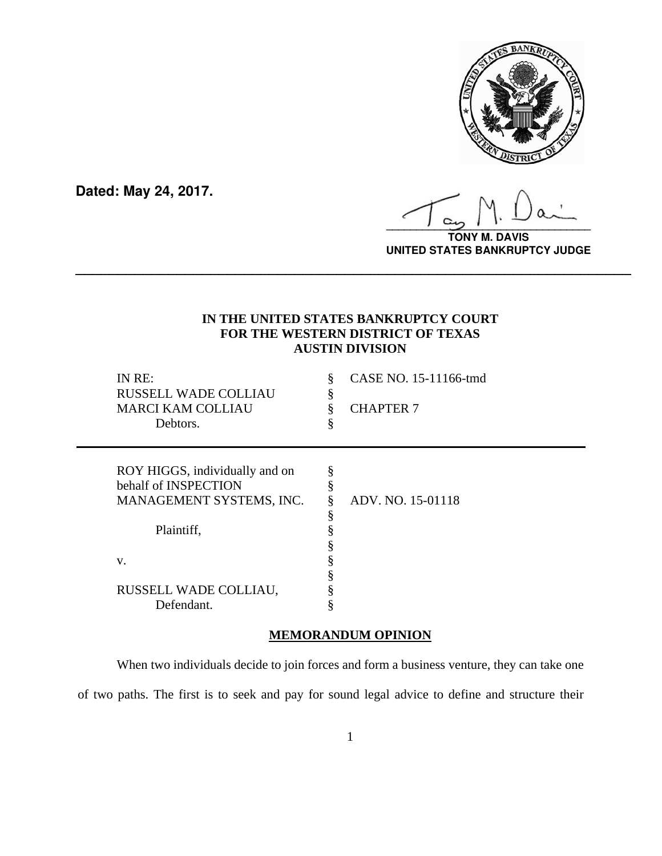

**Dated: May 24, 2017.**

**\_\_\_\_\_\_\_\_\_\_\_\_\_\_\_\_\_\_\_\_\_\_\_\_\_\_\_\_\_\_\_\_\_\_**

**TONY M. DAVIS UNITED STATES BANKRUPTCY JUDGE**

# **IN THE UNITED STATES BANKRUPTCY COURT FOR THE WESTERN DISTRICT OF TEXAS AUSTIN DIVISION**

**\_\_\_\_\_\_\_\_\_\_\_\_\_\_\_\_\_\_\_\_\_\_\_\_\_\_\_\_\_\_\_\_\_\_\_\_\_\_\_\_\_\_\_\_\_\_\_\_\_\_\_\_\_\_\_\_\_\_\_\_\_\_\_\_\_\_**

|    | IN RE:<br><b>RUSSELL WADE COLLIAU</b><br><b>MARCI KAM COLLIAU</b><br>Debtors. | §<br>§<br>§ | CASE NO. 15-11166-tmd<br><b>CHAPTER 7</b> |
|----|-------------------------------------------------------------------------------|-------------|-------------------------------------------|
|    |                                                                               |             |                                           |
|    | ROY HIGGS, individually and on                                                | §           |                                           |
|    | behalf of INSPECTION                                                          | 8           |                                           |
|    | MANAGEMENT SYSTEMS, INC.                                                      | §           | ADV. NO. 15-01118                         |
|    |                                                                               | §           |                                           |
|    | Plaintiff,                                                                    |             |                                           |
|    |                                                                               |             |                                           |
|    |                                                                               |             |                                           |
| V. |                                                                               |             |                                           |
|    |                                                                               |             |                                           |
|    | RUSSELL WADE COLLIAU,                                                         |             |                                           |
|    |                                                                               |             |                                           |
|    | Defendant.                                                                    |             |                                           |

# **MEMORANDUM OPINION**

When two individuals decide to join forces and form a business venture, they can take one of two paths. The first is to seek and pay for sound legal advice to define and structure their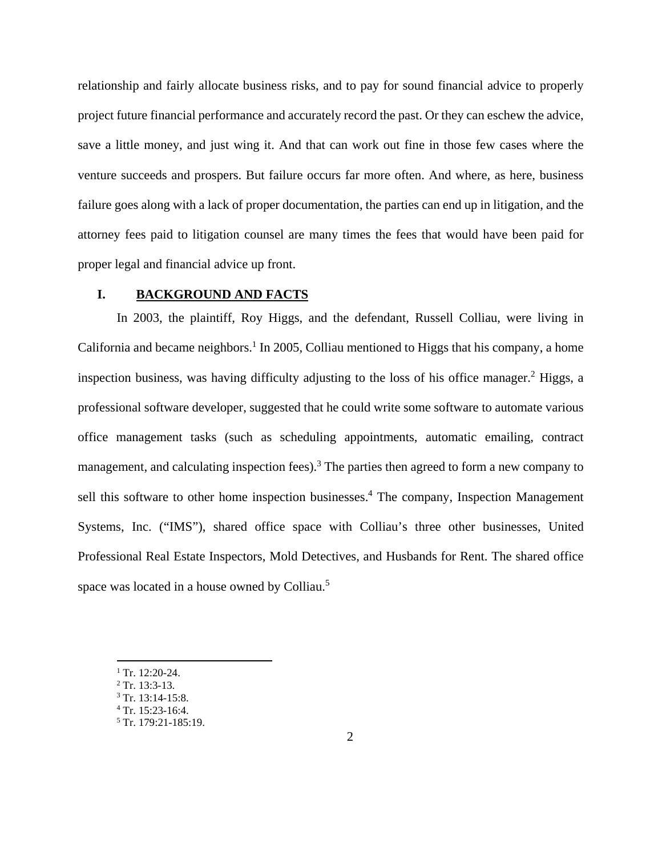relationship and fairly allocate business risks, and to pay for sound financial advice to properly project future financial performance and accurately record the past. Or they can eschew the advice, save a little money, and just wing it. And that can work out fine in those few cases where the venture succeeds and prospers. But failure occurs far more often. And where, as here, business failure goes along with a lack of proper documentation, the parties can end up in litigation, and the attorney fees paid to litigation counsel are many times the fees that would have been paid for proper legal and financial advice up front.

#### **I. BACKGROUND AND FACTS**

In 2003, the plaintiff, Roy Higgs, and the defendant, Russell Colliau, were living in California and became neighbors.<sup>1</sup> In 2005, Colliau mentioned to Higgs that his company, a home inspection business, was having difficulty adjusting to the loss of his office manager.<sup>2</sup> Higgs, a professional software developer, suggested that he could write some software to automate various office management tasks (such as scheduling appointments, automatic emailing, contract management, and calculating inspection fees).<sup>3</sup> The parties then agreed to form a new company to sell this software to other home inspection businesses.<sup>4</sup> The company, Inspection Management Systems, Inc. ("IMS"), shared office space with Colliau's three other businesses, United Professional Real Estate Inspectors, Mold Detectives, and Husbands for Rent. The shared office space was located in a house owned by Colliau.<sup>5</sup>

 $1$  Tr. 12:20-24.

- $2$  Tr. 13:3-13.
- $3$  Tr. 13:14-15:8.
- $4$  Tr. 15:23-16:4.

<sup>5</sup> Tr. 179:21-185:19.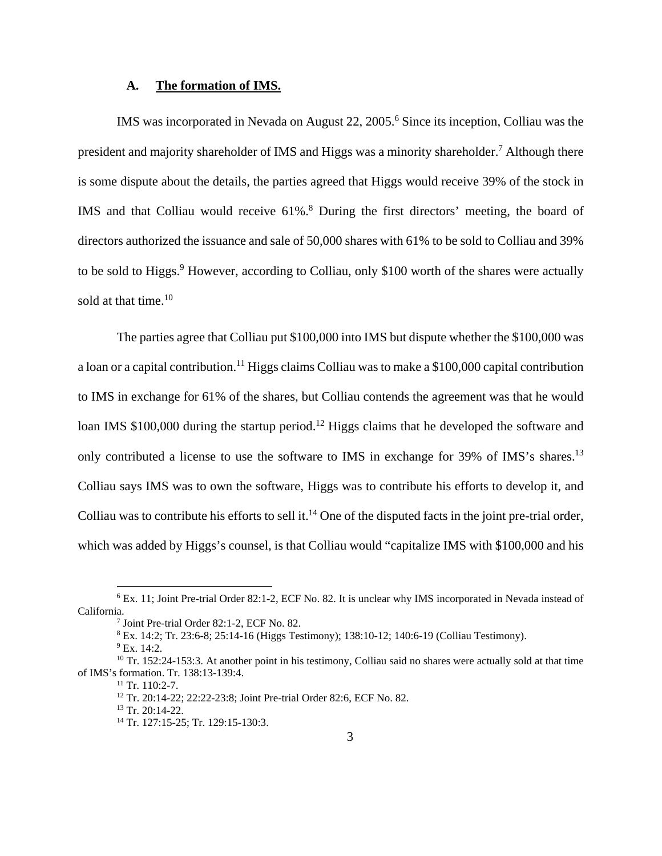### **A. The formation of IMS.**

IMS was incorporated in Nevada on August 22, 2005.<sup>6</sup> Since its inception, Colliau was the president and majority shareholder of IMS and Higgs was a minority shareholder.<sup>7</sup> Although there is some dispute about the details, the parties agreed that Higgs would receive 39% of the stock in IMS and that Colliau would receive 61%.<sup>8</sup> During the first directors' meeting, the board of directors authorized the issuance and sale of 50,000 shares with 61% to be sold to Colliau and 39% to be sold to Higgs.<sup>9</sup> However, according to Colliau, only \$100 worth of the shares were actually sold at that time. $10$ 

The parties agree that Colliau put \$100,000 into IMS but dispute whether the \$100,000 was a loan or a capital contribution.<sup>11</sup> Higgs claims Colliau was to make a \$100,000 capital contribution to IMS in exchange for 61% of the shares, but Colliau contends the agreement was that he would loan IMS \$100,000 during the startup period.<sup>12</sup> Higgs claims that he developed the software and only contributed a license to use the software to IMS in exchange for 39% of IMS's shares.<sup>13</sup> Colliau says IMS was to own the software, Higgs was to contribute his efforts to develop it, and Colliau was to contribute his efforts to sell it.<sup>14</sup> One of the disputed facts in the joint pre-trial order, which was added by Higgs's counsel, is that Colliau would "capitalize IMS with \$100,000 and his

<sup>&</sup>lt;sup>6</sup> Ex. 11; Joint Pre-trial Order 82:1-2, ECF No. 82. It is unclear why IMS incorporated in Nevada instead of California.

<sup>&</sup>lt;sup>7</sup> Joint Pre-trial Order 82:1-2, ECF No. 82.

<sup>8</sup> Ex. 14:2; Tr. 23:6-8; 25:14-16 (Higgs Testimony); 138:10-12; 140:6-19 (Colliau Testimony).

<sup>&</sup>lt;sup>9</sup> Ex. 14:2.

<sup>&</sup>lt;sup>10</sup> Tr. 152:24-153:3. At another point in his testimony, Colliau said no shares were actually sold at that time of IMS's formation. Tr. 138:13-139:4.<br><sup>11</sup> Tr. 110:2-7.

<sup>12</sup> Tr. 20:14-22; 22:22-23:8; Joint Pre-trial Order 82:6, ECF No. 82.

 $13$  Tr. 20:14-22.

<sup>&</sup>lt;sup>14</sup> Tr. 127:15-25; Tr. 129:15-130:3.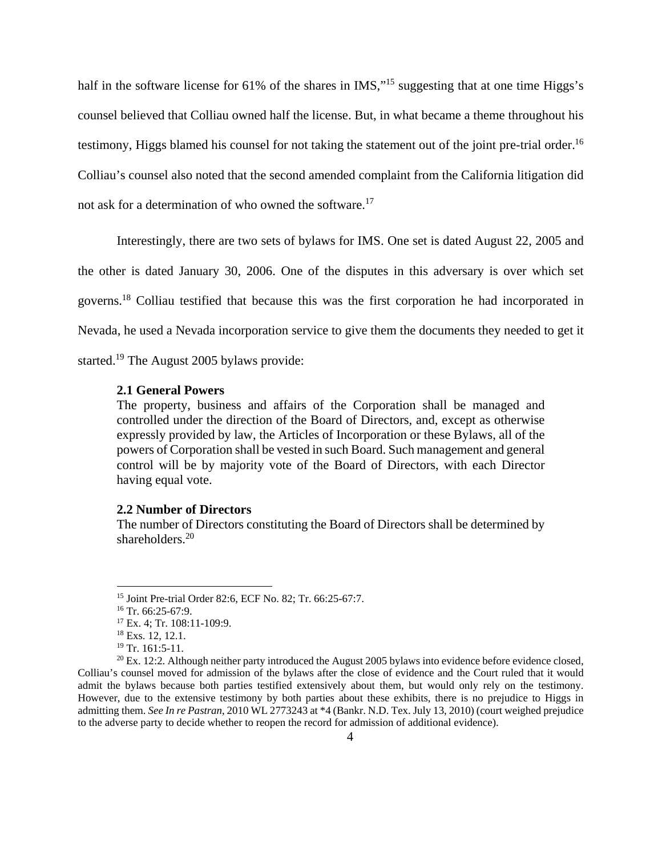half in the software license for 61% of the shares in IMS,"<sup>15</sup> suggesting that at one time Higgs's counsel believed that Colliau owned half the license. But, in what became a theme throughout his testimony, Higgs blamed his counsel for not taking the statement out of the joint pre-trial order.<sup>16</sup> Colliau's counsel also noted that the second amended complaint from the California litigation did not ask for a determination of who owned the software.<sup>17</sup>

Interestingly, there are two sets of bylaws for IMS. One set is dated August 22, 2005 and the other is dated January 30, 2006. One of the disputes in this adversary is over which set governs.18 Colliau testified that because this was the first corporation he had incorporated in Nevada, he used a Nevada incorporation service to give them the documents they needed to get it started.19 The August 2005 bylaws provide:

#### **2.1 General Powers**

The property, business and affairs of the Corporation shall be managed and controlled under the direction of the Board of Directors, and, except as otherwise expressly provided by law, the Articles of Incorporation or these Bylaws, all of the powers of Corporation shall be vested in such Board. Such management and general control will be by majority vote of the Board of Directors, with each Director having equal vote.

#### **2.2 Number of Directors**

The number of Directors constituting the Board of Directors shall be determined by shareholders.<sup>20</sup>

<u>.</u>

<sup>15</sup> Joint Pre-trial Order 82:6, ECF No. 82; Tr. 66:25-67:7.

 $16$  Tr. 66:25-67:9.

<sup>17</sup> Ex. 4; Tr. 108:11-109:9.

<sup>&</sup>lt;sup>18</sup> Exs. 12, 12.1.

<sup>19</sup> Tr. 161:5-11.

 $^{20}$  Ex. 12:2. Although neither party introduced the August 2005 bylaws into evidence before evidence closed, Colliau's counsel moved for admission of the bylaws after the close of evidence and the Court ruled that it would admit the bylaws because both parties testified extensively about them, but would only rely on the testimony. However, due to the extensive testimony by both parties about these exhibits, there is no prejudice to Higgs in admitting them. *See In re Pastran*, 2010 WL 2773243 at \*4 (Bankr. N.D. Tex. July 13, 2010) (court weighed prejudice to the adverse party to decide whether to reopen the record for admission of additional evidence).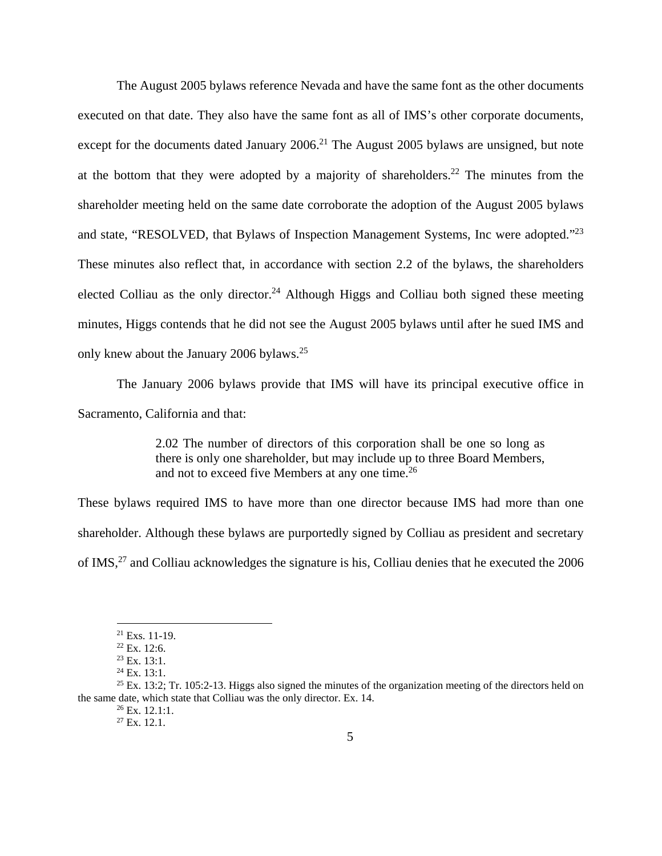The August 2005 bylaws reference Nevada and have the same font as the other documents executed on that date. They also have the same font as all of IMS's other corporate documents, except for the documents dated January  $2006$ .<sup>21</sup> The August 2005 bylaws are unsigned, but note at the bottom that they were adopted by a majority of shareholders.<sup>22</sup> The minutes from the shareholder meeting held on the same date corroborate the adoption of the August 2005 bylaws and state, "RESOLVED, that Bylaws of Inspection Management Systems, Inc were adopted."<sup>23</sup> These minutes also reflect that, in accordance with section 2.2 of the bylaws, the shareholders elected Colliau as the only director.<sup>24</sup> Although Higgs and Colliau both signed these meeting minutes, Higgs contends that he did not see the August 2005 bylaws until after he sued IMS and only knew about the January 2006 bylaws.25

The January 2006 bylaws provide that IMS will have its principal executive office in Sacramento, California and that:

> 2.02 The number of directors of this corporation shall be one so long as there is only one shareholder, but may include up to three Board Members, and not to exceed five Members at any one time.<sup>26</sup>

These bylaws required IMS to have more than one director because IMS had more than one shareholder. Although these bylaws are purportedly signed by Colliau as president and secretary of IMS,27 and Colliau acknowledges the signature is his, Colliau denies that he executed the 2006

<sup>21</sup> Exs. 11-19.

 $22$  Ex. 12:6.

 $23$  Ex. 13:1.

 $24$  Ex. 13:1.

 $^{25}$  Ex. 13:2; Tr. 105:2-13. Higgs also signed the minutes of the organization meeting of the directors held on the same date, which state that Colliau was the only director. Ex. 14.  $^{26}$  Ex. 12.1:1.

 $27$  Ex. 12.1.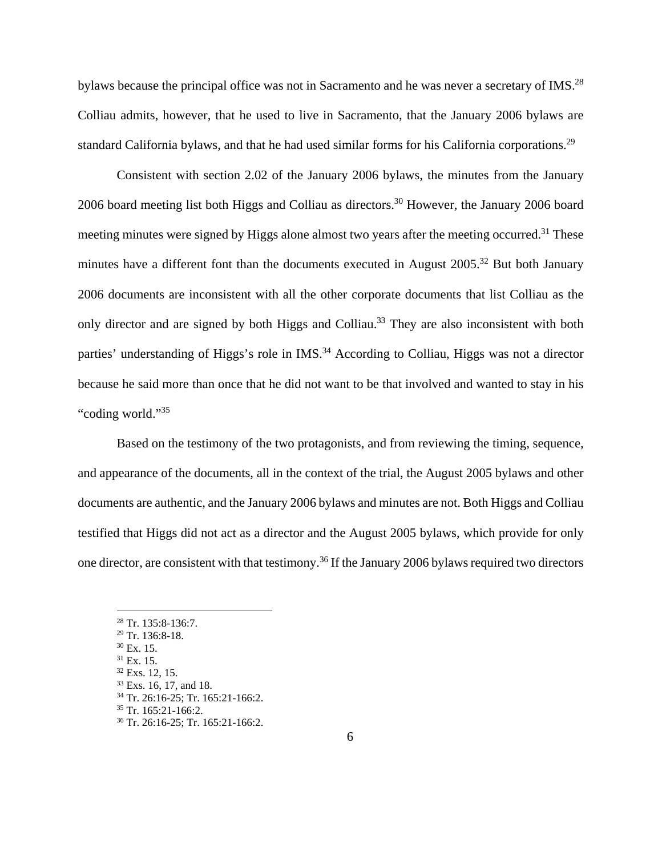bylaws because the principal office was not in Sacramento and he was never a secretary of IMS.<sup>28</sup> Colliau admits, however, that he used to live in Sacramento, that the January 2006 bylaws are standard California bylaws, and that he had used similar forms for his California corporations.<sup>29</sup>

Consistent with section 2.02 of the January 2006 bylaws, the minutes from the January 2006 board meeting list both Higgs and Colliau as directors.<sup>30</sup> However, the January 2006 board meeting minutes were signed by Higgs alone almost two years after the meeting occurred.<sup>31</sup> These minutes have a different font than the documents executed in August 2005.<sup>32</sup> But both January 2006 documents are inconsistent with all the other corporate documents that list Colliau as the only director and are signed by both Higgs and Colliau.<sup>33</sup> They are also inconsistent with both parties' understanding of Higgs's role in IMS.<sup>34</sup> According to Colliau, Higgs was not a director because he said more than once that he did not want to be that involved and wanted to stay in his "coding world."<sup>35</sup>

Based on the testimony of the two protagonists, and from reviewing the timing, sequence, and appearance of the documents, all in the context of the trial, the August 2005 bylaws and other documents are authentic, and the January 2006 bylaws and minutes are not. Both Higgs and Colliau testified that Higgs did not act as a director and the August 2005 bylaws, which provide for only one director, are consistent with that testimony.36 If the January 2006 bylaws required two directors

<sup>28</sup> Tr. 135:8-136:7.

<sup>29</sup> Tr. 136:8-18.

 $30$  Ex. 15.

 $31$  Ex. 15.

 $32$  Exs. 12, 15. 33 Exs. 16, 17, and 18.

<sup>34</sup> Tr. 26:16-25; Tr. 165:21-166:2.

 $35$  Tr. 165:21-166:2.

<sup>36</sup> Tr. 26:16-25; Tr. 165:21-166:2.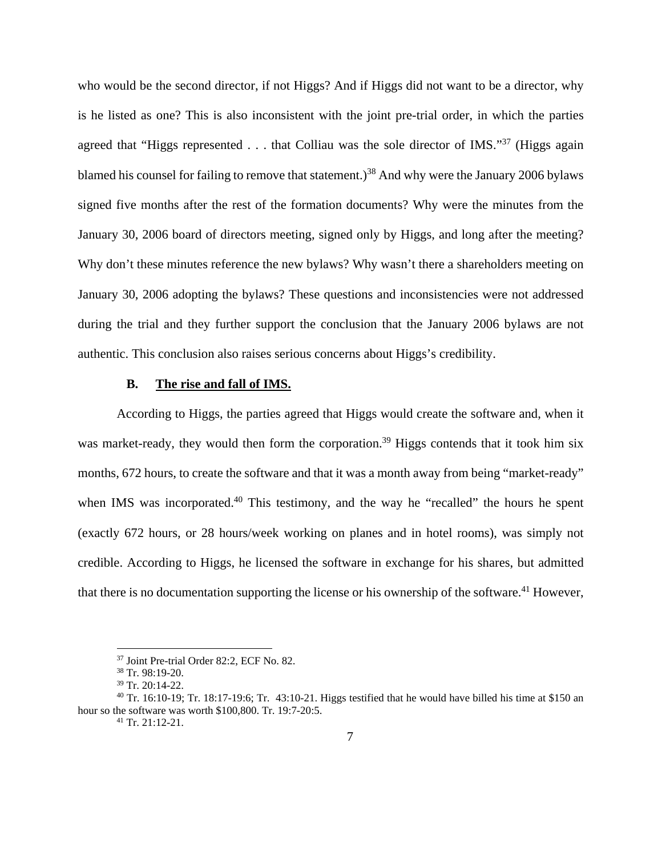who would be the second director, if not Higgs? And if Higgs did not want to be a director, why is he listed as one? This is also inconsistent with the joint pre-trial order, in which the parties agreed that "Higgs represented  $\ldots$  that Colliau was the sole director of IMS."<sup>37</sup> (Higgs again blamed his counsel for failing to remove that statement.)<sup>38</sup> And why were the January 2006 bylaws signed five months after the rest of the formation documents? Why were the minutes from the January 30, 2006 board of directors meeting, signed only by Higgs, and long after the meeting? Why don't these minutes reference the new bylaws? Why wasn't there a shareholders meeting on January 30, 2006 adopting the bylaws? These questions and inconsistencies were not addressed during the trial and they further support the conclusion that the January 2006 bylaws are not authentic. This conclusion also raises serious concerns about Higgs's credibility.

#### **B. The rise and fall of IMS.**

According to Higgs, the parties agreed that Higgs would create the software and, when it was market-ready, they would then form the corporation.<sup>39</sup> Higgs contends that it took him six months, 672 hours, to create the software and that it was a month away from being "market-ready" when IMS was incorporated.<sup>40</sup> This testimony, and the way he "recalled" the hours he spent (exactly 672 hours, or 28 hours/week working on planes and in hotel rooms), was simply not credible. According to Higgs, he licensed the software in exchange for his shares, but admitted that there is no documentation supporting the license or his ownership of the software.<sup>41</sup> However,

<sup>37</sup> Joint Pre-trial Order 82:2, ECF No. 82.

<sup>38</sup> Tr. 98:19-20.

<sup>39</sup> Tr. 20:14-22.

 $40$  Tr. 16:10-19; Tr. 18:17-19:6; Tr. 43:10-21. Higgs testified that he would have billed his time at \$150 an hour so the software was worth \$100,800. Tr. 19:7-20:5.<br><sup>41</sup> Tr. 21:12-21.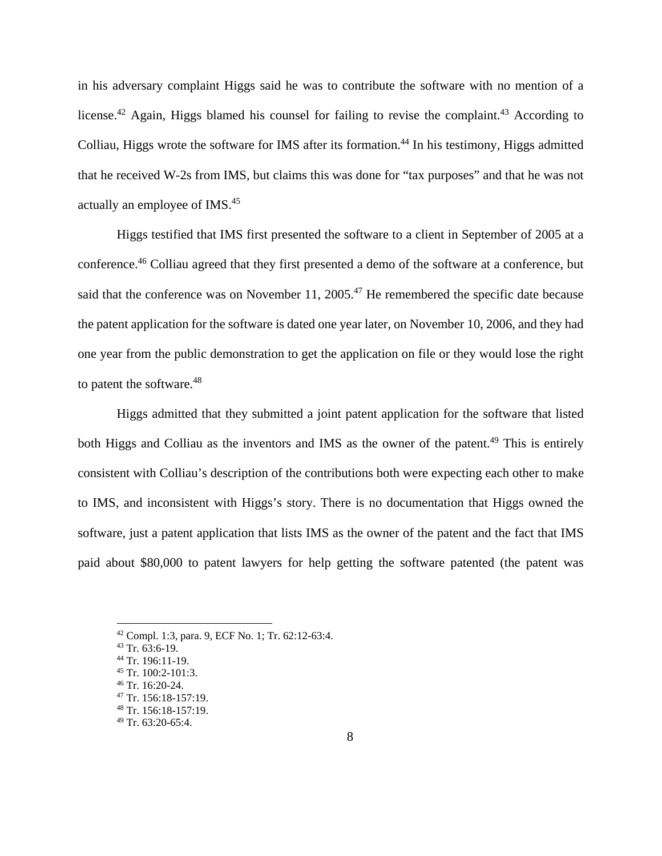in his adversary complaint Higgs said he was to contribute the software with no mention of a license.<sup>42</sup> Again, Higgs blamed his counsel for failing to revise the complaint.<sup>43</sup> According to Colliau, Higgs wrote the software for IMS after its formation.<sup>44</sup> In his testimony, Higgs admitted that he received W-2s from IMS, but claims this was done for "tax purposes" and that he was not actually an employee of IMS.45

Higgs testified that IMS first presented the software to a client in September of 2005 at a conference.46 Colliau agreed that they first presented a demo of the software at a conference, but said that the conference was on November 11, 2005.<sup>47</sup> He remembered the specific date because the patent application for the software is dated one year later, on November 10, 2006, and they had one year from the public demonstration to get the application on file or they would lose the right to patent the software.<sup>48</sup>

Higgs admitted that they submitted a joint patent application for the software that listed both Higgs and Colliau as the inventors and IMS as the owner of the patent.<sup>49</sup> This is entirely consistent with Colliau's description of the contributions both were expecting each other to make to IMS, and inconsistent with Higgs's story. There is no documentation that Higgs owned the software, just a patent application that lists IMS as the owner of the patent and the fact that IMS paid about \$80,000 to patent lawyers for help getting the software patented (the patent was

<u>.</u>

<sup>42</sup> Compl. 1:3, para. 9, ECF No. 1; Tr. 62:12-63:4.

<sup>43</sup> Tr. 63:6-19.

<sup>44</sup> Tr. 196:11-19.

<sup>45</sup> Tr. 100:2-101:3. 46 Tr. 16:20-24.

<sup>47</sup> Tr. 156:18-157:19. 48 Tr. 156:18-157:19.

 $49$  Tr. 63:20-65:4.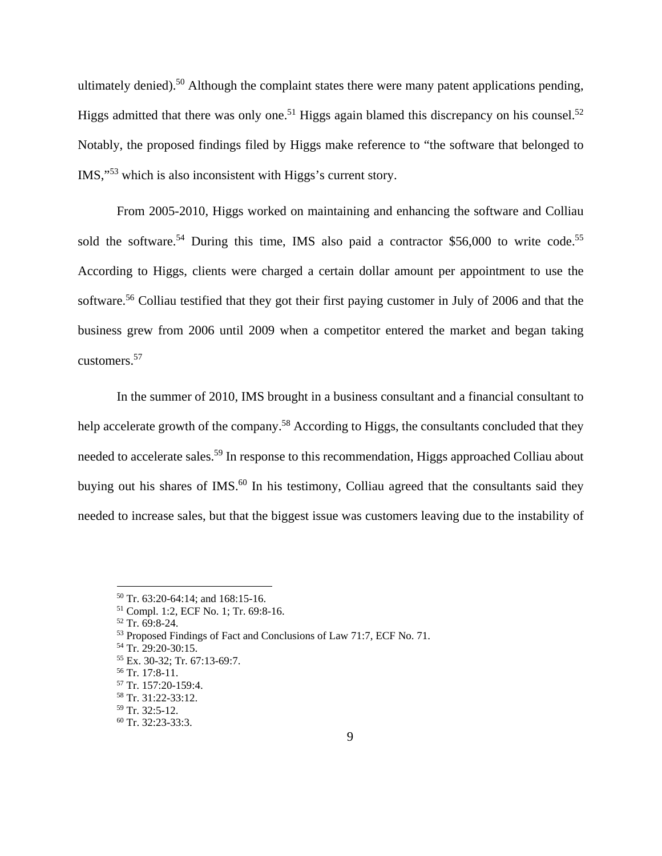ultimately denied).<sup>50</sup> Although the complaint states there were many patent applications pending, Higgs admitted that there was only one.<sup>51</sup> Higgs again blamed this discrepancy on his counsel.<sup>52</sup> Notably, the proposed findings filed by Higgs make reference to "the software that belonged to IMS,"53 which is also inconsistent with Higgs's current story.

From 2005-2010, Higgs worked on maintaining and enhancing the software and Colliau sold the software.<sup>54</sup> During this time, IMS also paid a contractor \$56,000 to write code.<sup>55</sup> According to Higgs, clients were charged a certain dollar amount per appointment to use the software.<sup>56</sup> Colliau testified that they got their first paying customer in July of 2006 and that the business grew from 2006 until 2009 when a competitor entered the market and began taking customers.57

In the summer of 2010, IMS brought in a business consultant and a financial consultant to help accelerate growth of the company.<sup>58</sup> According to Higgs, the consultants concluded that they needed to accelerate sales.<sup>59</sup> In response to this recommendation, Higgs approached Colliau about buying out his shares of IMS.<sup>60</sup> In his testimony, Colliau agreed that the consultants said they needed to increase sales, but that the biggest issue was customers leaving due to the instability of

<u>.</u>

55 Ex. 30-32; Tr. 67:13-69:7.

<sup>50</sup> Tr. 63:20-64:14; and 168:15-16.

<sup>51</sup> Compl. 1:2, ECF No. 1; Tr. 69:8-16.

<sup>52</sup> Tr. 69:8-24.

<sup>53</sup> Proposed Findings of Fact and Conclusions of Law 71:7, ECF No. 71.

<sup>54</sup> Tr. 29:20-30:15.

<sup>56</sup> Tr. 17:8-11.

<sup>57</sup> Tr. 157:20-159:4.

<sup>58</sup> Tr. 31:22-33:12.

<sup>59</sup> Tr. 32:5-12.

 $60$  Tr. 32:23-33:3.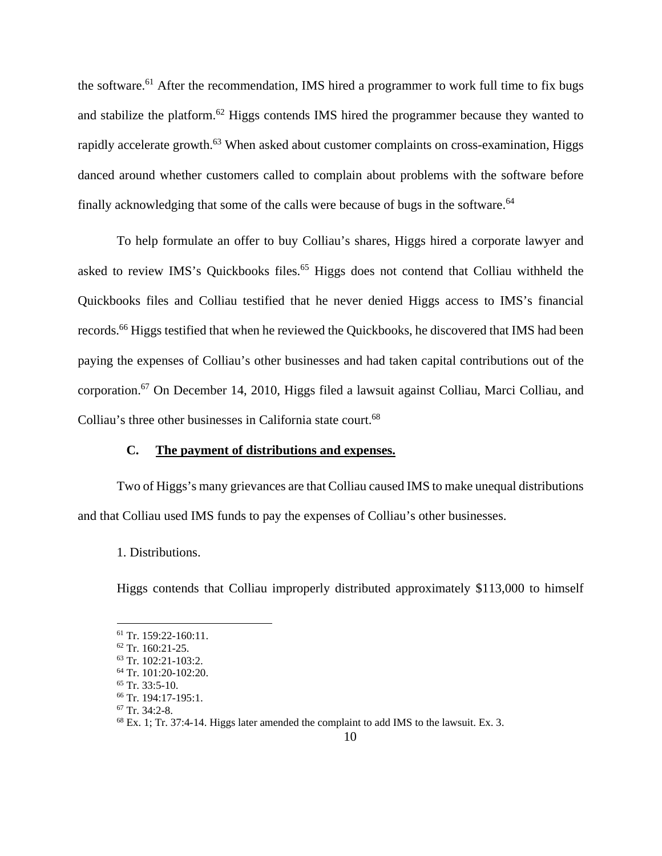the software.<sup>61</sup> After the recommendation, IMS hired a programmer to work full time to fix bugs and stabilize the platform.<sup>62</sup> Higgs contends IMS hired the programmer because they wanted to rapidly accelerate growth.<sup>63</sup> When asked about customer complaints on cross-examination, Higgs danced around whether customers called to complain about problems with the software before finally acknowledging that some of the calls were because of bugs in the software.<sup>64</sup>

To help formulate an offer to buy Colliau's shares, Higgs hired a corporate lawyer and asked to review IMS's Quickbooks files.<sup>65</sup> Higgs does not contend that Colliau withheld the Quickbooks files and Colliau testified that he never denied Higgs access to IMS's financial records.<sup>66</sup> Higgs testified that when he reviewed the Quickbooks, he discovered that IMS had been paying the expenses of Colliau's other businesses and had taken capital contributions out of the corporation.67 On December 14, 2010, Higgs filed a lawsuit against Colliau, Marci Colliau, and Colliau's three other businesses in California state court.<sup>68</sup>

# **C. The payment of distributions and expenses.**

Two of Higgs's many grievances are that Colliau caused IMS to make unequal distributions and that Colliau used IMS funds to pay the expenses of Colliau's other businesses.

1. Distributions.

Higgs contends that Colliau improperly distributed approximately \$113,000 to himself

<sup>61</sup> Tr. 159:22-160:11.

<sup>62</sup> Tr. 160:21-25.

<sup>63</sup> Tr. 102:21-103:2. 64 Tr. 101:20-102:20.

 $65$  Tr. 33:5-10.

<sup>66</sup> Tr. 194:17-195:1.

 $67$  Tr. 34:2-8.

<sup>68</sup> Ex. 1; Tr. 37:4-14. Higgs later amended the complaint to add IMS to the lawsuit. Ex. 3.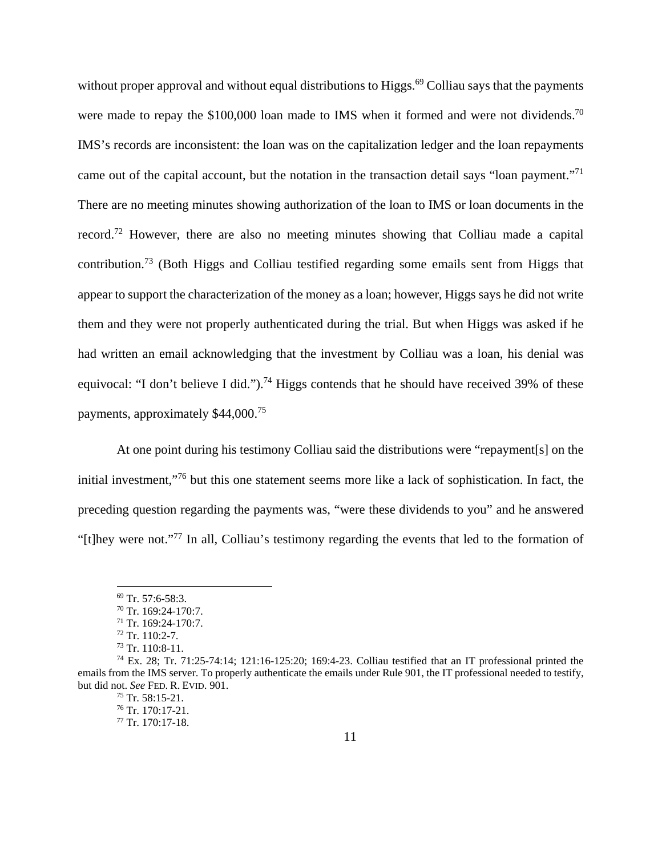without proper approval and without equal distributions to Higgs.<sup>69</sup> Colliau says that the payments were made to repay the \$100,000 loan made to IMS when it formed and were not dividends.<sup>70</sup> IMS's records are inconsistent: the loan was on the capitalization ledger and the loan repayments came out of the capital account, but the notation in the transaction detail says "loan payment."71 There are no meeting minutes showing authorization of the loan to IMS or loan documents in the record.<sup>72</sup> However, there are also no meeting minutes showing that Colliau made a capital contribution.73 (Both Higgs and Colliau testified regarding some emails sent from Higgs that appear to support the characterization of the money as a loan; however, Higgs says he did not write them and they were not properly authenticated during the trial. But when Higgs was asked if he had written an email acknowledging that the investment by Colliau was a loan, his denial was equivocal: "I don't believe I did.").<sup>74</sup> Higgs contends that he should have received 39% of these payments, approximately \$44,000.75

At one point during his testimony Colliau said the distributions were "repayment[s] on the initial investment,"76 but this one statement seems more like a lack of sophistication. In fact, the preceding question regarding the payments was, "were these dividends to you" and he answered "[t]hey were not."77 In all, Colliau's testimony regarding the events that led to the formation of

<u>.</u>

<sup>69</sup> Tr. 57:6-58:3.

<sup>70</sup> Tr. 169:24-170:7.

<sup>71</sup> Tr. 169:24-170:7.

 $72$  Tr. 110:2-7.

<sup>73</sup> Tr. 110:8-11.

<sup>74</sup> Ex. 28; Tr. 71:25-74:14; 121:16-125:20; 169:4-23. Colliau testified that an IT professional printed the emails from the IMS server. To properly authenticate the emails under Rule 901, the IT professional needed to testify, but did not. *See* FED. R. EVID. 901. 75 Tr. 58:15-21.

 $76$  Tr. 170:17-21.

 $77$  Tr. 170:17-18.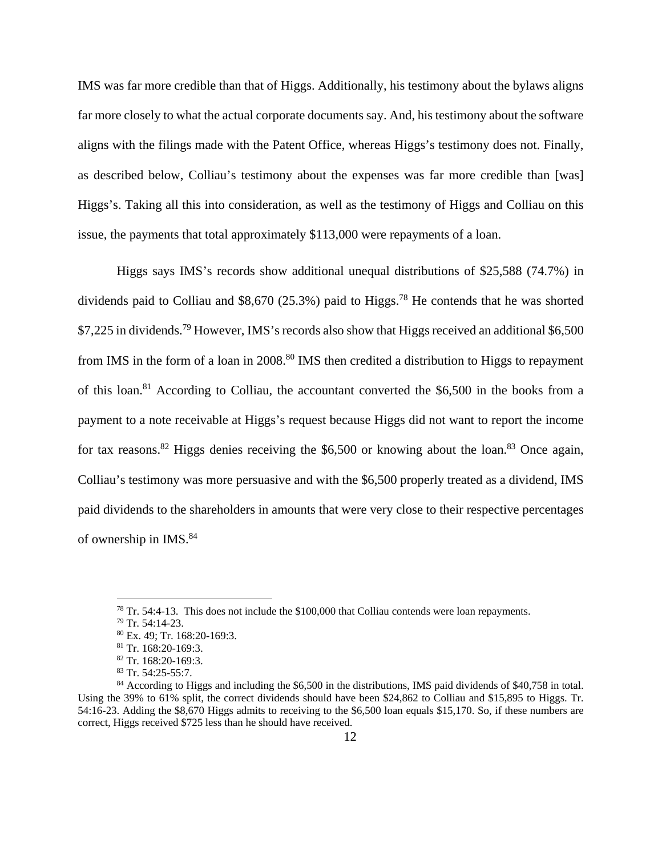IMS was far more credible than that of Higgs. Additionally, his testimony about the bylaws aligns far more closely to what the actual corporate documents say. And, his testimony about the software aligns with the filings made with the Patent Office, whereas Higgs's testimony does not. Finally, as described below, Colliau's testimony about the expenses was far more credible than [was] Higgs's. Taking all this into consideration, as well as the testimony of Higgs and Colliau on this issue, the payments that total approximately \$113,000 were repayments of a loan.

Higgs says IMS's records show additional unequal distributions of \$25,588 (74.7%) in dividends paid to Colliau and \$8,670 (25.3%) paid to Higgs.<sup>78</sup> He contends that he was shorted \$7,225 in dividends.<sup>79</sup> However, IMS's records also show that Higgs received an additional \$6,500 from IMS in the form of a loan in 2008.<sup>80</sup> IMS then credited a distribution to Higgs to repayment of this loan.81 According to Colliau, the accountant converted the \$6,500 in the books from a payment to a note receivable at Higgs's request because Higgs did not want to report the income for tax reasons.<sup>82</sup> Higgs denies receiving the \$6,500 or knowing about the loan.<sup>83</sup> Once again, Colliau's testimony was more persuasive and with the \$6,500 properly treated as a dividend, IMS paid dividends to the shareholders in amounts that were very close to their respective percentages of ownership in IMS.84

 $78$  Tr. 54:4-13. This does not include the \$100,000 that Colliau contends were loan repayments.

<sup>79</sup> Tr. 54:14-23.

<sup>80</sup> Ex. 49; Tr. 168:20-169:3.

<sup>81</sup> Tr. 168:20-169:3.

<sup>82</sup> Tr. 168:20-169:3.

<sup>83</sup> Tr. 54:25-55:7.

<sup>&</sup>lt;sup>84</sup> According to Higgs and including the \$6,500 in the distributions, IMS paid dividends of \$40,758 in total. Using the 39% to 61% split, the correct dividends should have been \$24,862 to Colliau and \$15,895 to Higgs. Tr. 54:16-23. Adding the \$8,670 Higgs admits to receiving to the \$6,500 loan equals \$15,170. So, if these numbers are correct, Higgs received \$725 less than he should have received.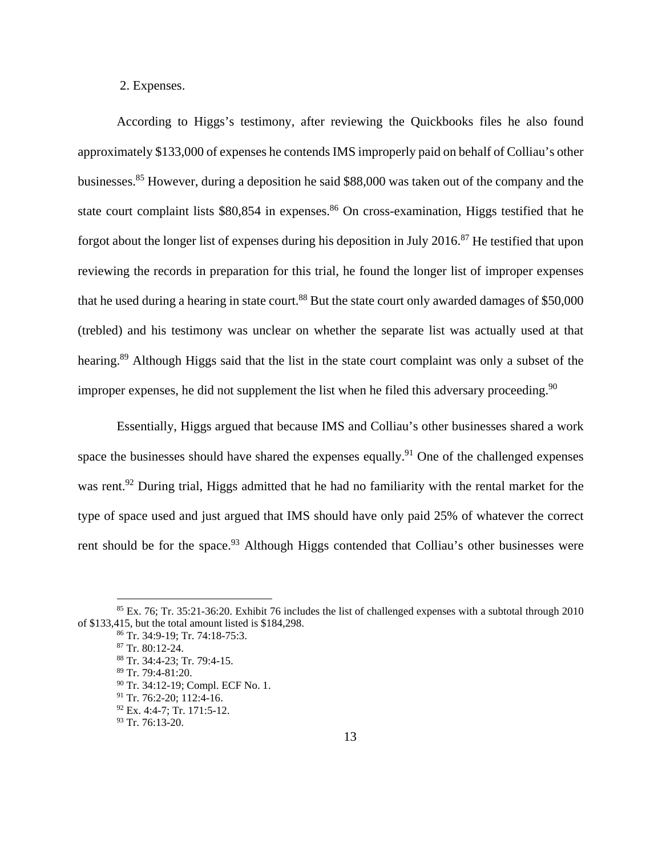2. Expenses.

According to Higgs's testimony, after reviewing the Quickbooks files he also found approximately \$133,000 of expenses he contends IMS improperly paid on behalf of Colliau's other businesses.85 However, during a deposition he said \$88,000 was taken out of the company and the state court complaint lists  $$80,854$  in expenses.<sup>86</sup> On cross-examination, Higgs testified that he forgot about the longer list of expenses during his deposition in July 2016.<sup>87</sup> He testified that upon reviewing the records in preparation for this trial, he found the longer list of improper expenses that he used during a hearing in state court.<sup>88</sup> But the state court only awarded damages of \$50,000 (trebled) and his testimony was unclear on whether the separate list was actually used at that hearing.<sup>89</sup> Although Higgs said that the list in the state court complaint was only a subset of the improper expenses, he did not supplement the list when he filed this adversary proceeding.<sup>90</sup>

Essentially, Higgs argued that because IMS and Colliau's other businesses shared a work space the businesses should have shared the expenses equally.<sup>91</sup> One of the challenged expenses was rent.<sup>92</sup> During trial, Higgs admitted that he had no familiarity with the rental market for the type of space used and just argued that IMS should have only paid 25% of whatever the correct rent should be for the space.<sup>93</sup> Although Higgs contended that Colliau's other businesses were

 $85$  Ex. 76; Tr. 35:21-36:20. Exhibit 76 includes the list of challenged expenses with a subtotal through 2010 of \$133,415, but the total amount listed is \$184,298.<br><sup>86</sup> Tr. 34:9-19; Tr. 74:18-75:3.

<sup>87</sup> Tr. 80:12-24.

<sup>88</sup> Tr. 34:4-23; Tr. 79:4-15. 89 Tr. 79:4-81:20.

<sup>90</sup> Tr. 34:12-19; Compl. ECF No. 1.

<sup>&</sup>lt;sup>91</sup> Tr. 76:2-20; 112:4-16.

<sup>92</sup> Ex. 4:4-7; Tr. 171:5-12.

<sup>93</sup> Tr. 76:13-20.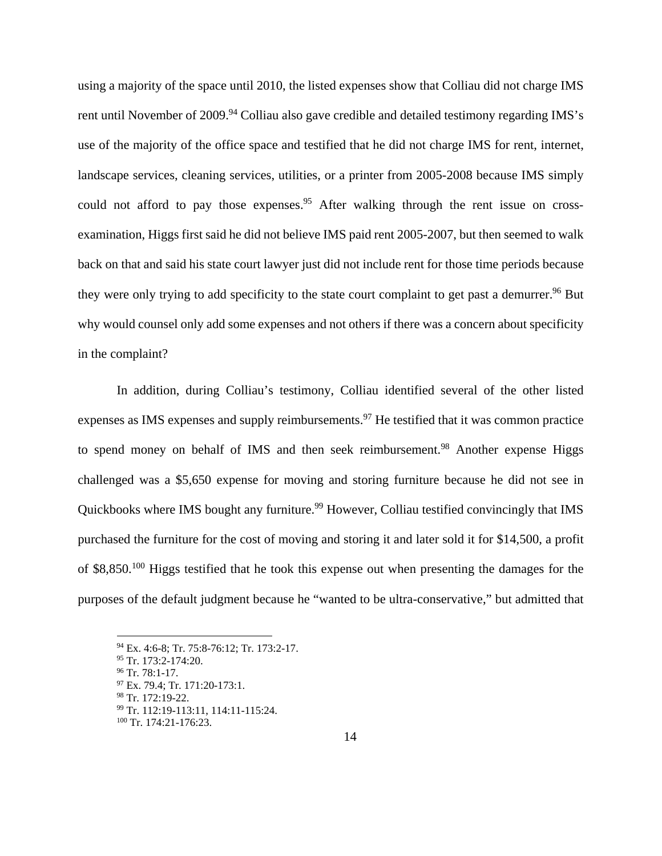using a majority of the space until 2010, the listed expenses show that Colliau did not charge IMS rent until November of 2009.<sup>94</sup> Colliau also gave credible and detailed testimony regarding IMS's use of the majority of the office space and testified that he did not charge IMS for rent, internet, landscape services, cleaning services, utilities, or a printer from 2005-2008 because IMS simply could not afford to pay those expenses.<sup>95</sup> After walking through the rent issue on crossexamination, Higgs first said he did not believe IMS paid rent 2005-2007, but then seemed to walk back on that and said his state court lawyer just did not include rent for those time periods because they were only trying to add specificity to the state court complaint to get past a demurrer.<sup>96</sup> But why would counsel only add some expenses and not others if there was a concern about specificity in the complaint?

In addition, during Colliau's testimony, Colliau identified several of the other listed expenses as IMS expenses and supply reimbursements.<sup>97</sup> He testified that it was common practice to spend money on behalf of IMS and then seek reimbursement.<sup>98</sup> Another expense Higgs challenged was a \$5,650 expense for moving and storing furniture because he did not see in Quickbooks where IMS bought any furniture.<sup>99</sup> However, Colliau testified convincingly that IMS purchased the furniture for the cost of moving and storing it and later sold it for \$14,500, a profit of \$8,850.100 Higgs testified that he took this expense out when presenting the damages for the purposes of the default judgment because he "wanted to be ultra-conservative," but admitted that

<sup>94</sup> Ex. 4:6-8; Tr. 75:8-76:12; Tr. 173:2-17.

<sup>95</sup> Tr. 173:2-174:20.

<sup>96</sup> Tr. 78:1-17. 97 Ex. 79.4; Tr. 171:20-173:1.

<sup>98</sup> Tr. 172:19-22.

<sup>99</sup> Tr. 112:19-113:11, 114:11-115:24.

<sup>100</sup> Tr. 174:21-176:23.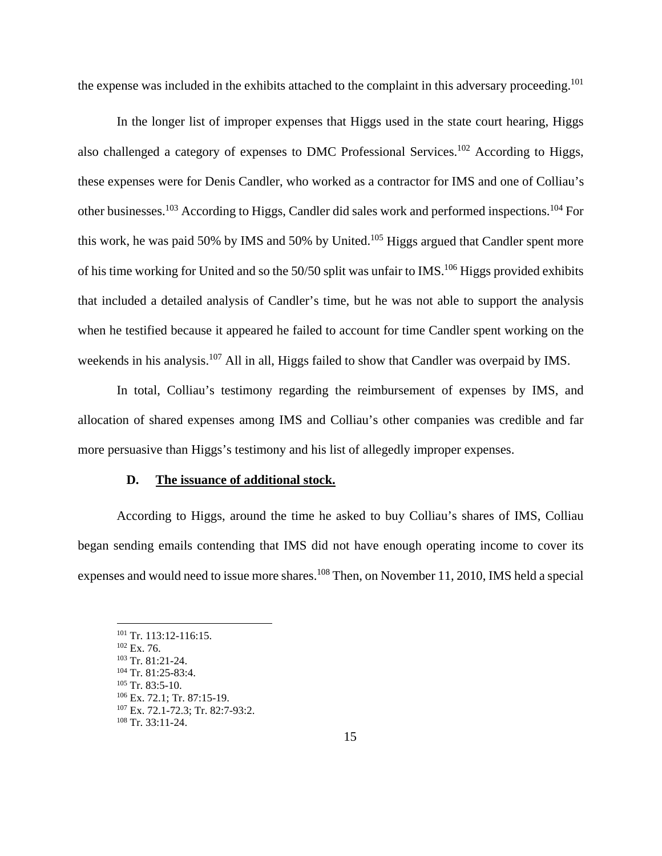the expense was included in the exhibits attached to the complaint in this adversary proceeding.<sup>101</sup>

In the longer list of improper expenses that Higgs used in the state court hearing, Higgs also challenged a category of expenses to DMC Professional Services.102 According to Higgs, these expenses were for Denis Candler, who worked as a contractor for IMS and one of Colliau's other businesses.103 According to Higgs, Candler did sales work and performed inspections.104 For this work, he was paid 50% by IMS and 50% by United.<sup>105</sup> Higgs argued that Candler spent more of his time working for United and so the  $50/50$  split was unfair to IMS.<sup>106</sup> Higgs provided exhibits that included a detailed analysis of Candler's time, but he was not able to support the analysis when he testified because it appeared he failed to account for time Candler spent working on the weekends in his analysis.<sup>107</sup> All in all, Higgs failed to show that Candler was overpaid by IMS.

In total, Colliau's testimony regarding the reimbursement of expenses by IMS, and allocation of shared expenses among IMS and Colliau's other companies was credible and far more persuasive than Higgs's testimony and his list of allegedly improper expenses.

## **D. The issuance of additional stock.**

According to Higgs, around the time he asked to buy Colliau's shares of IMS, Colliau began sending emails contending that IMS did not have enough operating income to cover its expenses and would need to issue more shares.<sup>108</sup> Then, on November 11, 2010, IMS held a special

<sup>&</sup>lt;sup>101</sup> Tr. 113:12-116:15.<br>
<sup>102</sup> Ex. 76.<br>
<sup>103</sup> Tr. 81:21-24.<br>
<sup>104</sup> Tr. 81:25-83:4.<br>
<sup>105</sup> Tr. 83:5-10.<br>
<sup>106</sup> Ex. 72.1; Tr. 87:15-19.<br>
<sup>107</sup> Ex. 72.1-72.3; Tr. 82:7-93:2.<br>
<sup>108</sup> Tr. 33:11-24.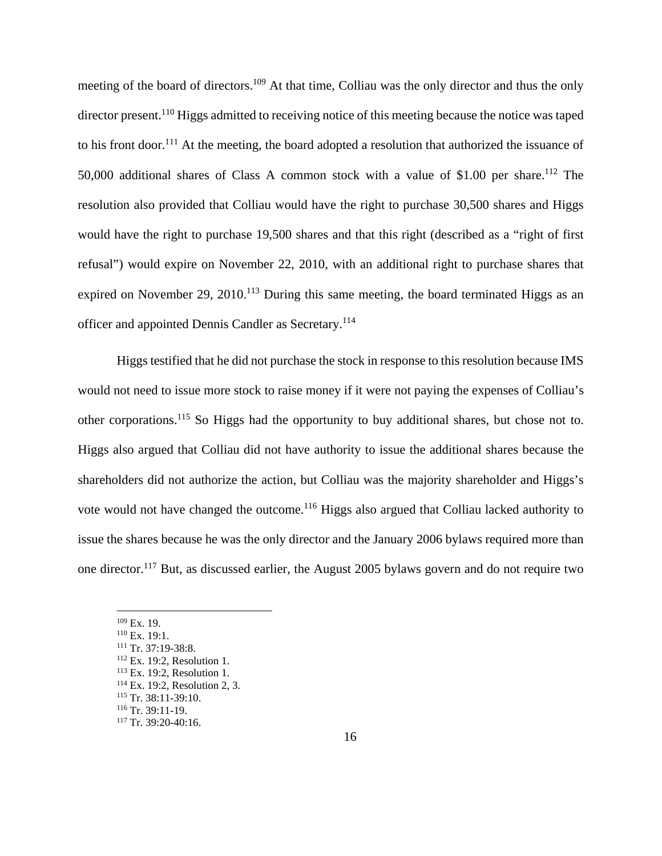meeting of the board of directors.109 At that time, Colliau was the only director and thus the only director present.<sup>110</sup> Higgs admitted to receiving notice of this meeting because the notice was taped to his front door.<sup>111</sup> At the meeting, the board adopted a resolution that authorized the issuance of 50,000 additional shares of Class A common stock with a value of \$1.00 per share.112 The resolution also provided that Colliau would have the right to purchase 30,500 shares and Higgs would have the right to purchase 19,500 shares and that this right (described as a "right of first refusal") would expire on November 22, 2010, with an additional right to purchase shares that expired on November 29, 2010.<sup>113</sup> During this same meeting, the board terminated Higgs as an officer and appointed Dennis Candler as Secretary.<sup>114</sup>

Higgs testified that he did not purchase the stock in response to this resolution because IMS would not need to issue more stock to raise money if it were not paying the expenses of Colliau's other corporations.115 So Higgs had the opportunity to buy additional shares, but chose not to. Higgs also argued that Colliau did not have authority to issue the additional shares because the shareholders did not authorize the action, but Colliau was the majority shareholder and Higgs's vote would not have changed the outcome.<sup>116</sup> Higgs also argued that Colliau lacked authority to issue the shares because he was the only director and the January 2006 bylaws required more than one director.117 But, as discussed earlier, the August 2005 bylaws govern and do not require two

<sup>&</sup>lt;sup>109</sup> Ex. 19.<br>
<sup>110</sup> Ex. 19:1.<br>
<sup>112</sup> Ex. 19:2, Resolution 1.<br>
<sup>113</sup> Ex. 19:2, Resolution 1.<br>
<sup>114</sup> Ex. 19:2, Resolution 2, 3.<br>
<sup>115</sup> Tr. 38:11-39:10.<br>
<sup>116</sup> Tr. 39:11-19.<br>
<sup>117</sup> Tr. 39:20-40:16.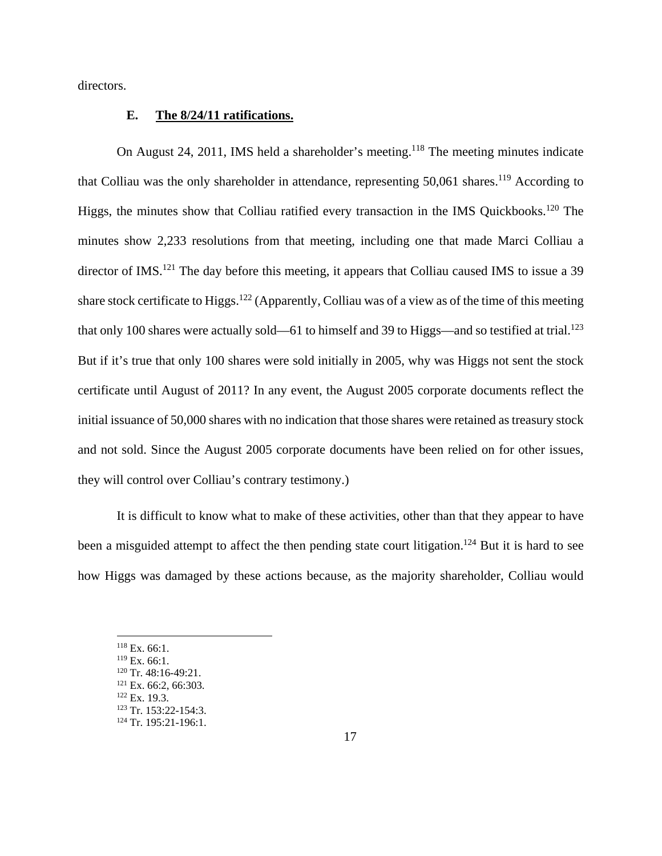directors.

# **E. The 8/24/11 ratifications.**

On August 24, 2011, IMS held a shareholder's meeting.118 The meeting minutes indicate that Colliau was the only shareholder in attendance, representing  $50,061$  shares.<sup>119</sup> According to Higgs, the minutes show that Colliau ratified every transaction in the IMS Quickbooks.<sup>120</sup> The minutes show 2,233 resolutions from that meeting, including one that made Marci Colliau a director of IMS.<sup>121</sup> The day before this meeting, it appears that Colliau caused IMS to issue a 39 share stock certificate to Higgs.122 (Apparently, Colliau was of a view as of the time of this meeting that only 100 shares were actually sold—61 to himself and 39 to Higgs—and so testified at trial.<sup>123</sup> But if it's true that only 100 shares were sold initially in 2005, why was Higgs not sent the stock certificate until August of 2011? In any event, the August 2005 corporate documents reflect the initial issuance of 50,000 shares with no indication that those shares were retained as treasury stock and not sold. Since the August 2005 corporate documents have been relied on for other issues, they will control over Colliau's contrary testimony.)

It is difficult to know what to make of these activities, other than that they appear to have been a misguided attempt to affect the then pending state court litigation.<sup>124</sup> But it is hard to see how Higgs was damaged by these actions because, as the majority shareholder, Colliau would

 $^{118}$  Ex. 66:1.<br> $^{119}$  Ex. 66:1.

<sup>&</sup>lt;sup>120</sup> Tr. 48:16-49:21.<br><sup>121</sup> Ex. 66:2, 66:303.<br><sup>122</sup> Ex. 19.3.<br><sup>123</sup> Tr. 153:22-154:3.<br><sup>124</sup> Tr. 195:21-196:1.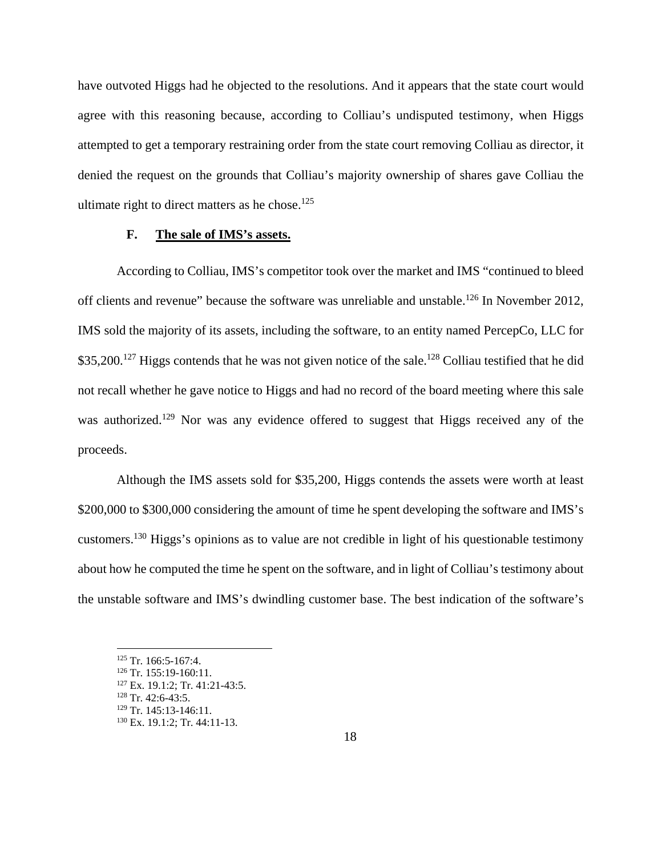have outvoted Higgs had he objected to the resolutions. And it appears that the state court would agree with this reasoning because, according to Colliau's undisputed testimony, when Higgs attempted to get a temporary restraining order from the state court removing Colliau as director, it denied the request on the grounds that Colliau's majority ownership of shares gave Colliau the ultimate right to direct matters as he chose. $125$ 

# **F. The sale of IMS's assets.**

According to Colliau, IMS's competitor took over the market and IMS "continued to bleed off clients and revenue" because the software was unreliable and unstable.<sup>126</sup> In November 2012, IMS sold the majority of its assets, including the software, to an entity named PercepCo, LLC for \$35,200.<sup>127</sup> Higgs contends that he was not given notice of the sale.<sup>128</sup> Colliau testified that he did not recall whether he gave notice to Higgs and had no record of the board meeting where this sale was authorized.<sup>129</sup> Nor was any evidence offered to suggest that Higgs received any of the proceeds.

Although the IMS assets sold for \$35,200, Higgs contends the assets were worth at least \$200,000 to \$300,000 considering the amount of time he spent developing the software and IMS's customers.130 Higgs's opinions as to value are not credible in light of his questionable testimony about how he computed the time he spent on the software, and in light of Colliau's testimony about the unstable software and IMS's dwindling customer base. The best indication of the software's

<sup>&</sup>lt;sup>125</sup> Tr. 166:5-167:4.<br><sup>126</sup> Tr. 155:19-160:11.<br><sup>127</sup> Ex. 19.1:2; Tr. 41:21-43:5.<br><sup>129</sup> Tr. 42:6-43:5.<br><sup>129</sup> Tr. 145:13-146:11.

 $130$  Ex. 19.1:2; Tr. 44:11-13.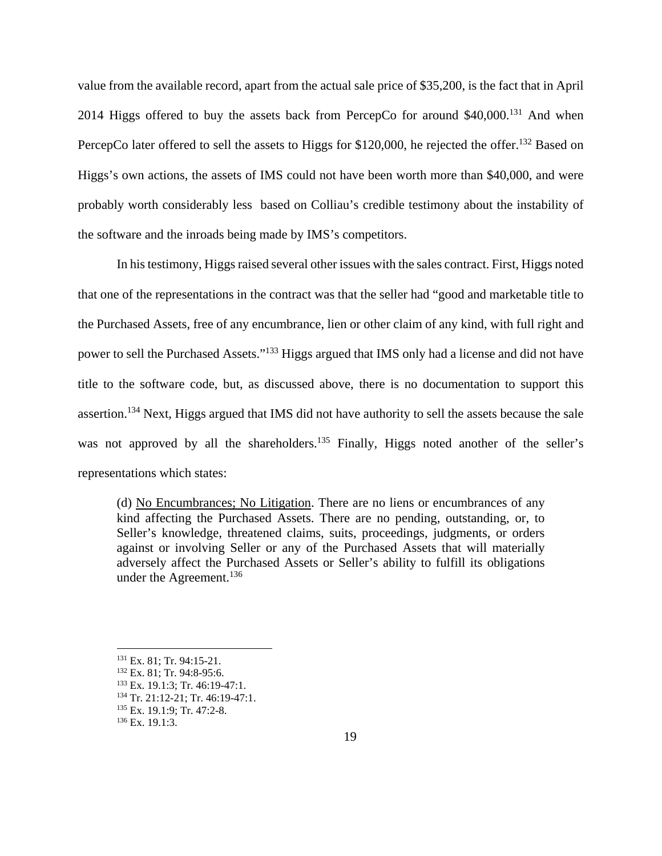value from the available record, apart from the actual sale price of \$35,200, is the fact that in April 2014 Higgs offered to buy the assets back from PercepCo for around  $$40,000$ .<sup>131</sup> And when PercepCo later offered to sell the assets to Higgs for \$120,000, he rejected the offer.<sup>132</sup> Based on Higgs's own actions, the assets of IMS could not have been worth more than \$40,000, and were probably worth considerably less based on Colliau's credible testimony about the instability of the software and the inroads being made by IMS's competitors.

In his testimony, Higgs raised several other issues with the sales contract. First, Higgs noted that one of the representations in the contract was that the seller had "good and marketable title to the Purchased Assets, free of any encumbrance, lien or other claim of any kind, with full right and power to sell the Purchased Assets."133 Higgs argued that IMS only had a license and did not have title to the software code, but, as discussed above, there is no documentation to support this assertion.134 Next, Higgs argued that IMS did not have authority to sell the assets because the sale was not approved by all the shareholders.<sup>135</sup> Finally, Higgs noted another of the seller's representations which states:

(d) No Encumbrances; No Litigation. There are no liens or encumbrances of any kind affecting the Purchased Assets. There are no pending, outstanding, or, to Seller's knowledge, threatened claims, suits, proceedings, judgments, or orders against or involving Seller or any of the Purchased Assets that will materially adversely affect the Purchased Assets or Seller's ability to fulfill its obligations under the Agreement.<sup>136</sup>

<sup>&</sup>lt;sup>131</sup> Ex. 81; Tr. 94:15-21.<br><sup>132</sup> Ex. 81; Tr. 94:8-95:6.<br><sup>133</sup> Ex. 19.1:3; Tr. 46:19-47:1.<br><sup>134</sup> Tr. 21:12-21; Tr. 46:19-47:1.<br><sup>135</sup> Ex. 19.1:9; Tr. 47:2-8.<br><sup>136</sup> Ex. 19.1:3.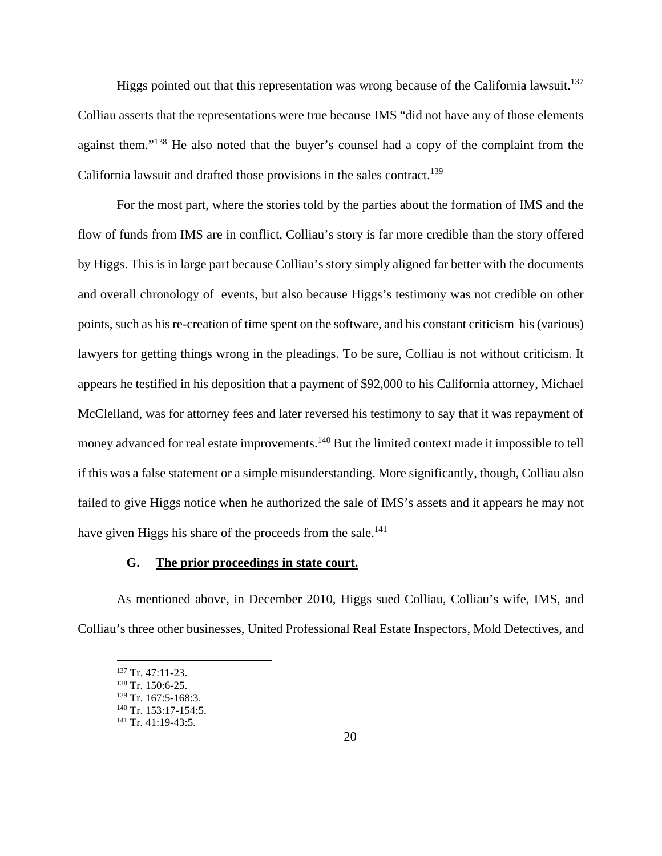Higgs pointed out that this representation was wrong because of the California lawsuit.<sup>137</sup> Colliau asserts that the representations were true because IMS "did not have any of those elements against them."138 He also noted that the buyer's counsel had a copy of the complaint from the California lawsuit and drafted those provisions in the sales contract.<sup>139</sup>

For the most part, where the stories told by the parties about the formation of IMS and the flow of funds from IMS are in conflict, Colliau's story is far more credible than the story offered by Higgs. This is in large part because Colliau's story simply aligned far better with the documents and overall chronology of events, but also because Higgs's testimony was not credible on other points, such as his re-creation of time spent on the software, and his constant criticism his (various) lawyers for getting things wrong in the pleadings. To be sure, Colliau is not without criticism. It appears he testified in his deposition that a payment of \$92,000 to his California attorney, Michael McClelland, was for attorney fees and later reversed his testimony to say that it was repayment of money advanced for real estate improvements.<sup>140</sup> But the limited context made it impossible to tell if this was a false statement or a simple misunderstanding. More significantly, though, Colliau also failed to give Higgs notice when he authorized the sale of IMS's assets and it appears he may not have given Higgs his share of the proceeds from the sale.<sup>141</sup>

# **G. The prior proceedings in state court.**

As mentioned above, in December 2010, Higgs sued Colliau, Colliau's wife, IMS, and Colliau's three other businesses, United Professional Real Estate Inspectors, Mold Detectives, and

<sup>&</sup>lt;sup>137</sup> Tr. 47:11-23.<br><sup>138</sup> Tr. 150:6-25.

 $^{139}$  Tr. 167:5-168:3.<br>  $^{140}$  Tr. 153:17-154:5.<br>  $^{141}$  Tr. 41:19-43:5.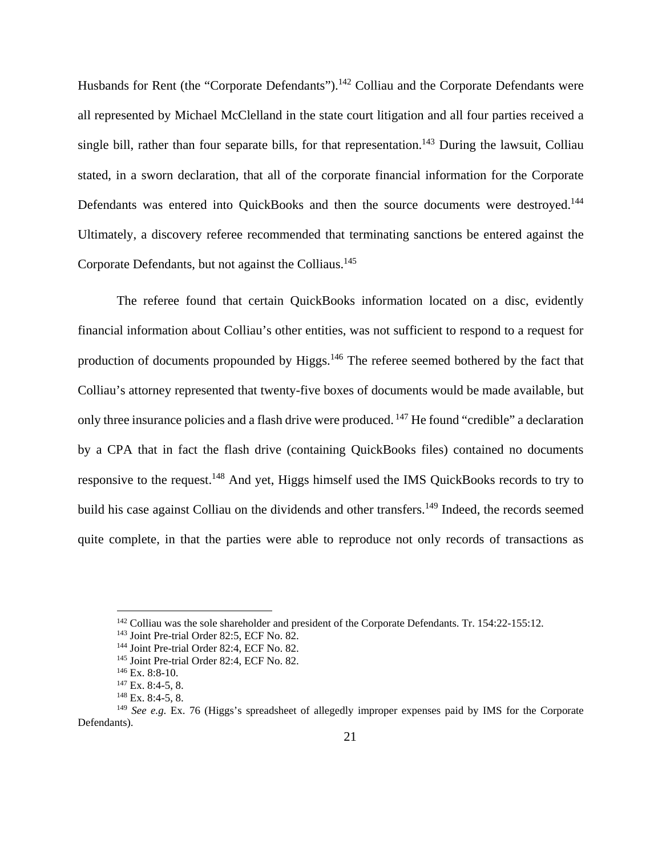Husbands for Rent (the "Corporate Defendants").<sup>142</sup> Colliau and the Corporate Defendants were all represented by Michael McClelland in the state court litigation and all four parties received a single bill, rather than four separate bills, for that representation.<sup>143</sup> During the lawsuit, Colliau stated, in a sworn declaration, that all of the corporate financial information for the Corporate Defendants was entered into QuickBooks and then the source documents were destroyed.<sup>144</sup> Ultimately, a discovery referee recommended that terminating sanctions be entered against the Corporate Defendants, but not against the Colliaus.145

The referee found that certain QuickBooks information located on a disc, evidently financial information about Colliau's other entities, was not sufficient to respond to a request for production of documents propounded by Higgs.<sup>146</sup> The referee seemed bothered by the fact that Colliau's attorney represented that twenty-five boxes of documents would be made available, but only three insurance policies and a flash drive were produced. 147 He found "credible" a declaration by a CPA that in fact the flash drive (containing QuickBooks files) contained no documents responsive to the request.148 And yet, Higgs himself used the IMS QuickBooks records to try to build his case against Colliau on the dividends and other transfers.<sup>149</sup> Indeed, the records seemed quite complete, in that the parties were able to reproduce not only records of transactions as

<sup>&</sup>lt;sup>142</sup> Colliau was the sole shareholder and president of the Corporate Defendants. Tr. 154:22-155:12.<br><sup>143</sup> Joint Pre-trial Order 82:5, ECF No. 82.<br><sup>144</sup> Joint Pre-trial Order 82:4, ECF No. 82.<br><sup>145</sup> Joint Pre-trial Order

<sup>149</sup> *See e.g*. Ex. 76 (Higgs's spreadsheet of allegedly improper expenses paid by IMS for the Corporate Defendants).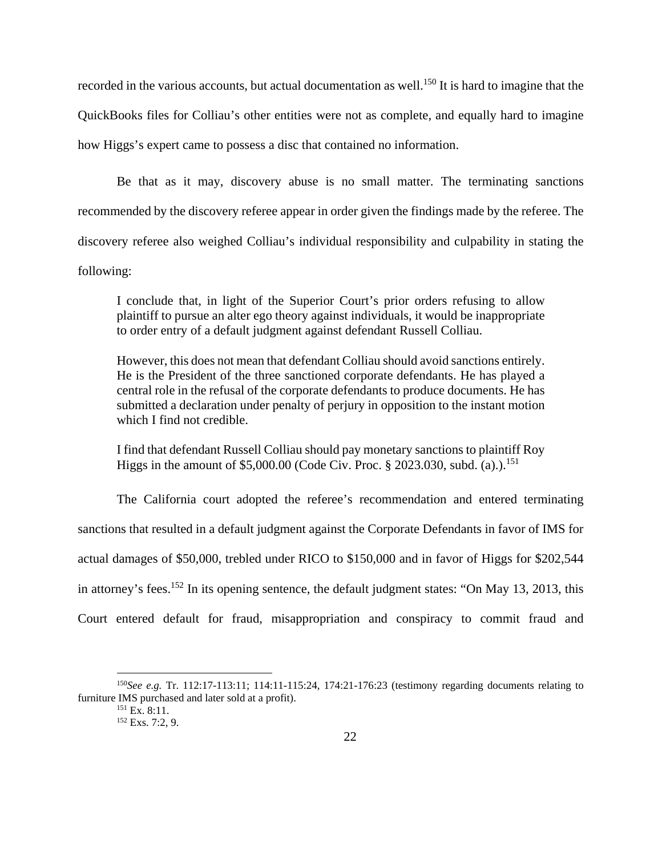recorded in the various accounts, but actual documentation as well.<sup>150</sup> It is hard to imagine that the QuickBooks files for Colliau's other entities were not as complete, and equally hard to imagine how Higgs's expert came to possess a disc that contained no information.

Be that as it may, discovery abuse is no small matter. The terminating sanctions recommended by the discovery referee appear in order given the findings made by the referee. The discovery referee also weighed Colliau's individual responsibility and culpability in stating the following:

I conclude that, in light of the Superior Court's prior orders refusing to allow plaintiff to pursue an alter ego theory against individuals, it would be inappropriate to order entry of a default judgment against defendant Russell Colliau.

However, this does not mean that defendant Colliau should avoid sanctions entirely. He is the President of the three sanctioned corporate defendants. He has played a central role in the refusal of the corporate defendants to produce documents. He has submitted a declaration under penalty of perjury in opposition to the instant motion which I find not credible.

I find that defendant Russell Colliau should pay monetary sanctions to plaintiff Roy Higgs in the amount of \$5,000.00 (Code Civ. Proc.  $\S 2023.030$ , subd. (a).).<sup>151</sup>

The California court adopted the referee's recommendation and entered terminating sanctions that resulted in a default judgment against the Corporate Defendants in favor of IMS for actual damages of \$50,000, trebled under RICO to \$150,000 and in favor of Higgs for \$202,544 in attorney's fees.<sup>152</sup> In its opening sentence, the default judgment states: "On May 13, 2013, this Court entered default for fraud, misappropriation and conspiracy to commit fraud and

<sup>150</sup>*See e.g.* Tr. 112:17-113:11; 114:11-115:24, 174:21-176:23 (testimony regarding documents relating to furniture IMS purchased and later sold at a profit).<br>  $^{151}$  Ex. 8:11.<br>  $^{152}$  Exs. 7:2, 9.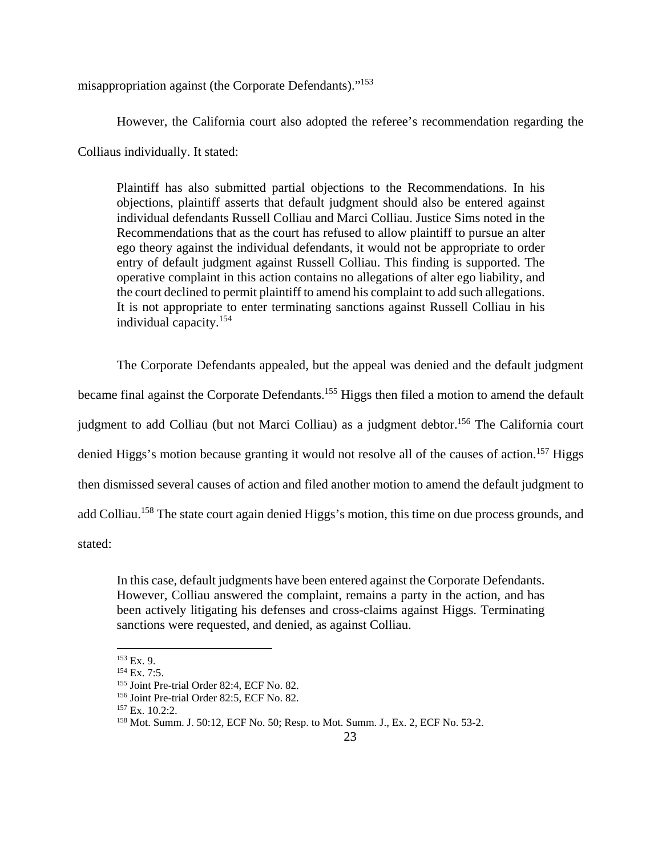misappropriation against (the Corporate Defendants)."153

However, the California court also adopted the referee's recommendation regarding the

Colliaus individually. It stated:

Plaintiff has also submitted partial objections to the Recommendations. In his objections, plaintiff asserts that default judgment should also be entered against individual defendants Russell Colliau and Marci Colliau. Justice Sims noted in the Recommendations that as the court has refused to allow plaintiff to pursue an alter ego theory against the individual defendants, it would not be appropriate to order entry of default judgment against Russell Colliau. This finding is supported. The operative complaint in this action contains no allegations of alter ego liability, and the court declined to permit plaintiff to amend his complaint to add such allegations. It is not appropriate to enter terminating sanctions against Russell Colliau in his individual capacity.154

The Corporate Defendants appealed, but the appeal was denied and the default judgment became final against the Corporate Defendants.<sup>155</sup> Higgs then filed a motion to amend the default judgment to add Colliau (but not Marci Colliau) as a judgment debtor.<sup>156</sup> The California court denied Higgs's motion because granting it would not resolve all of the causes of action.<sup>157</sup> Higgs then dismissed several causes of action and filed another motion to amend the default judgment to add Colliau.<sup>158</sup> The state court again denied Higgs's motion, this time on due process grounds, and stated:

In this case, default judgments have been entered against the Corporate Defendants. However, Colliau answered the complaint, remains a party in the action, and has been actively litigating his defenses and cross-claims against Higgs. Terminating sanctions were requested, and denied, as against Colliau.

 $153$  Ex. 9.

<sup>&</sup>lt;sup>154</sup> Ex. 7:5.<br><sup>155</sup> Joint Pre-trial Order 82:4, ECF No. 82.<br><sup>156</sup> Joint Pre-trial Order 82:5, ECF No. 82.<br><sup>158</sup> Ex. 10.2:2. <sup>158</sup> Mot. Summ. J. 50:12, ECF No. 50; Resp. to Mot. Summ. J., Ex. 2, ECF No. 53-2.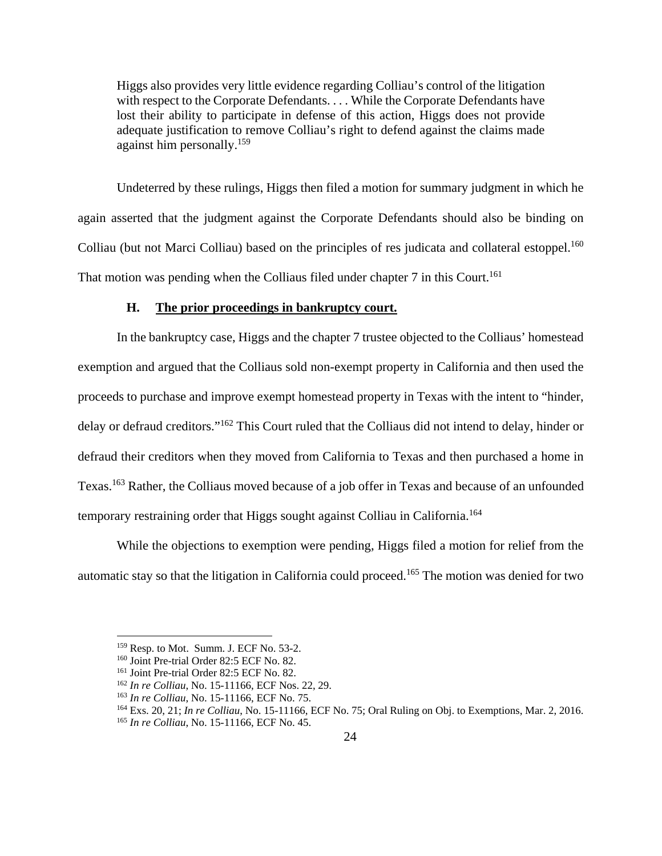Higgs also provides very little evidence regarding Colliau's control of the litigation with respect to the Corporate Defendants. . . . While the Corporate Defendants have lost their ability to participate in defense of this action, Higgs does not provide adequate justification to remove Colliau's right to defend against the claims made against him personally.159

Undeterred by these rulings, Higgs then filed a motion for summary judgment in which he again asserted that the judgment against the Corporate Defendants should also be binding on Colliau (but not Marci Colliau) based on the principles of res judicata and collateral estoppel.<sup>160</sup> That motion was pending when the Colliaus filed under chapter 7 in this Court.<sup>161</sup>

# **H. The prior proceedings in bankruptcy court.**

In the bankruptcy case, Higgs and the chapter 7 trustee objected to the Colliaus' homestead exemption and argued that the Colliaus sold non-exempt property in California and then used the proceeds to purchase and improve exempt homestead property in Texas with the intent to "hinder, delay or defraud creditors."162 This Court ruled that the Colliaus did not intend to delay, hinder or defraud their creditors when they moved from California to Texas and then purchased a home in Texas.163 Rather, the Colliaus moved because of a job offer in Texas and because of an unfounded temporary restraining order that Higgs sought against Colliau in California.<sup>164</sup>

While the objections to exemption were pending, Higgs filed a motion for relief from the automatic stay so that the litigation in California could proceed.165 The motion was denied for two

<sup>&</sup>lt;sup>159</sup> Resp. to Mot. Summ. J. ECF No. 53-2.<br><sup>160</sup> Joint Pre-trial Order 82:5 ECF No. 82.<br><sup>161</sup> Joint Pre-trial Order 82:5 ECF No. 82.<br><sup>161</sup> In re Colliau, No. 15-11166, ECF Nos. 22, 29.<br><sup>163</sup> In re Colliau, No. 15-11166, E

<sup>165</sup> *In re Colliau*, No. 15-11166, ECF No. 45.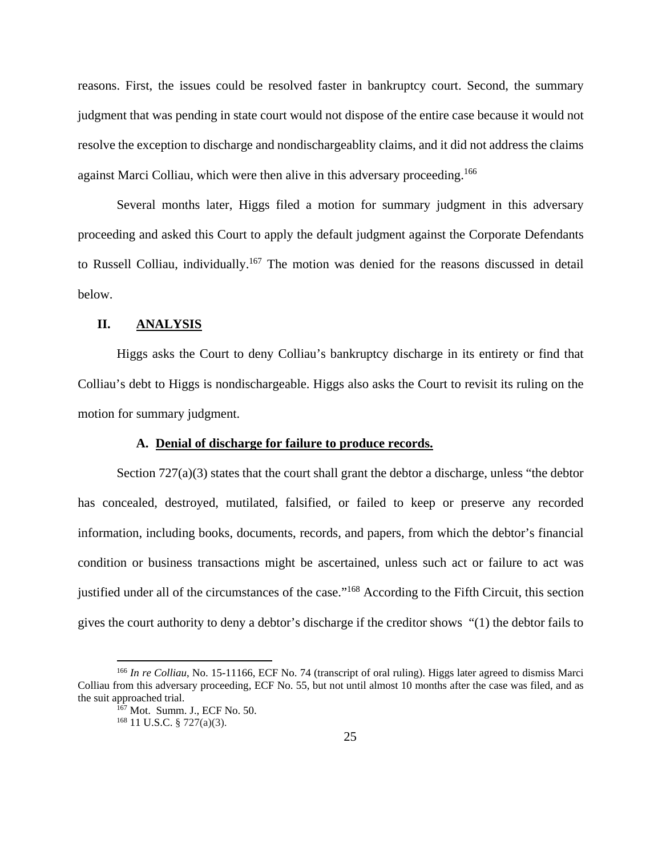reasons. First, the issues could be resolved faster in bankruptcy court. Second, the summary judgment that was pending in state court would not dispose of the entire case because it would not resolve the exception to discharge and nondischargeablity claims, and it did not address the claims against Marci Colliau, which were then alive in this adversary proceeding.166

Several months later, Higgs filed a motion for summary judgment in this adversary proceeding and asked this Court to apply the default judgment against the Corporate Defendants to Russell Colliau, individually.<sup>167</sup> The motion was denied for the reasons discussed in detail below.

### **II. ANALYSIS**

Higgs asks the Court to deny Colliau's bankruptcy discharge in its entirety or find that Colliau's debt to Higgs is nondischargeable. Higgs also asks the Court to revisit its ruling on the motion for summary judgment.

# **A. Denial of discharge for failure to produce records.**

Section 727(a)(3) states that the court shall grant the debtor a discharge, unless "the debtor" has concealed, destroyed, mutilated, falsified, or failed to keep or preserve any recorded information, including books, documents, records, and papers, from which the debtor's financial condition or business transactions might be ascertained, unless such act or failure to act was justified under all of the circumstances of the case."<sup>168</sup> According to the Fifth Circuit, this section gives the court authority to deny a debtor's discharge if the creditor shows "(1) the debtor fails to

<sup>166</sup> *In re Colliau*, No. 15-11166, ECF No. 74 (transcript of oral ruling). Higgs later agreed to dismiss Marci Colliau from this adversary proceeding, ECF No. 55, but not until almost 10 months after the case was filed, and as the suit approached trial.<br><sup>167</sup> Mot. Summ. J., ECF No. 50.<br><sup>168</sup> 11 U.S.C. § 727(a)(3).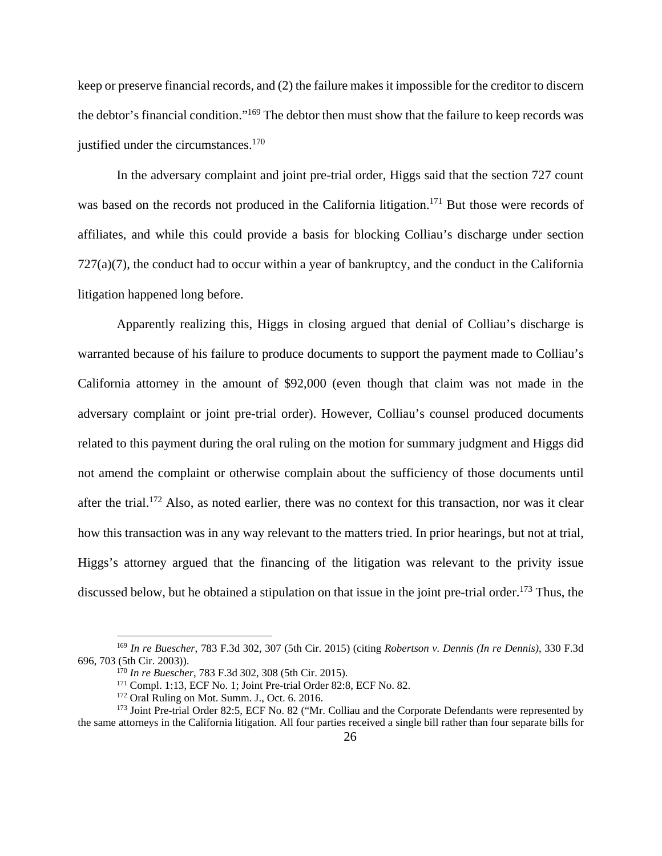keep or preserve financial records, and (2) the failure makes it impossible for the creditor to discern the debtor's financial condition."169 The debtor then must show that the failure to keep records was justified under the circumstances. $170$ 

In the adversary complaint and joint pre-trial order, Higgs said that the section 727 count was based on the records not produced in the California litigation.<sup>171</sup> But those were records of affiliates, and while this could provide a basis for blocking Colliau's discharge under section  $727(a)(7)$ , the conduct had to occur within a year of bankruptcy, and the conduct in the California litigation happened long before.

Apparently realizing this, Higgs in closing argued that denial of Colliau's discharge is warranted because of his failure to produce documents to support the payment made to Colliau's California attorney in the amount of \$92,000 (even though that claim was not made in the adversary complaint or joint pre-trial order). However, Colliau's counsel produced documents related to this payment during the oral ruling on the motion for summary judgment and Higgs did not amend the complaint or otherwise complain about the sufficiency of those documents until after the trial.172 Also, as noted earlier, there was no context for this transaction, nor was it clear how this transaction was in any way relevant to the matters tried. In prior hearings, but not at trial, Higgs's attorney argued that the financing of the litigation was relevant to the privity issue discussed below, but he obtained a stipulation on that issue in the joint pre-trial order.<sup>173</sup> Thus, the

<sup>169</sup> *In re Buescher*, 783 F.3d 302, 307 (5th Cir. 2015) (citing *Robertson v. Dennis (In re Dennis)*, 330 F.3d 696, 703 (5th Cir. 2003)).<br>
<sup>170</sup> *In re Buescher*, 783 F.3d 302, 308 (5th Cir. 2015).<br>
<sup>171</sup> Compl. 1:13, ECF No. 1; Joint Pre-trial Order 82:8, ECF No. 82.<br>
<sup>172</sup> Oral Ruling on Mot. Summ. J., Oct. 6. 2016.<br>
<sup>173</sup> Joint

the same attorneys in the California litigation. All four parties received a single bill rather than four separate bills for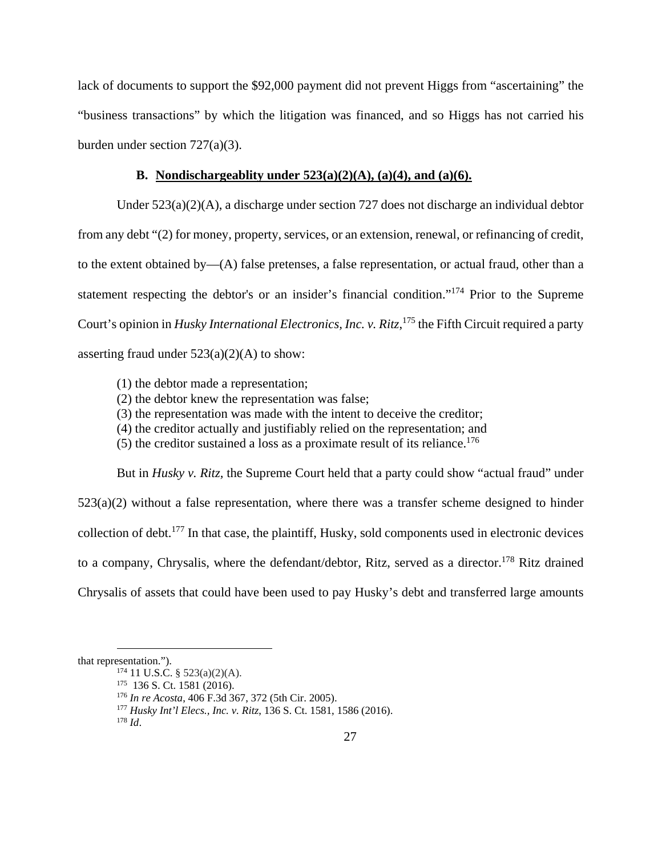lack of documents to support the \$92,000 payment did not prevent Higgs from "ascertaining" the "business transactions" by which the litigation was financed, and so Higgs has not carried his burden under section 727(a)(3).

## **B. Nondischargeablity under 523(a)(2)(A), (a)(4), and (a)(6).**

Under 523(a)(2)(A), a discharge under section 727 does not discharge an individual debtor from any debt "(2) for money, property, services, or an extension, renewal, or refinancing of credit, to the extent obtained by—(A) false pretenses, a false representation, or actual fraud, other than a statement respecting the debtor's or an insider's financial condition."174 Prior to the Supreme Court's opinion in *Husky International Electronics, Inc. v. Ritz*, 175 the Fifth Circuit required a party asserting fraud under  $523(a)(2)(A)$  to show:

- (1) the debtor made a representation;
- (2) the debtor knew the representation was false;
- (3) the representation was made with the intent to deceive the creditor;
- (4) the creditor actually and justifiably relied on the representation; and
- (5) the creditor sustained a loss as a proximate result of its reliance.<sup>176</sup>

But in *Husky v. Ritz,* the Supreme Court held that a party could show "actual fraud" under  $523(a)(2)$  without a false representation, where there was a transfer scheme designed to hinder collection of debt.177 In that case, the plaintiff, Husky, sold components used in electronic devices to a company, Chrysalis, where the defendant/debtor, Ritz, served as a director.<sup>178</sup> Ritz drained Chrysalis of assets that could have been used to pay Husky's debt and transferred large amounts

that representation.").<br>
<sup>174</sup> 11 U.S.C. § 523(a)(2)(A).<br>
<sup>175</sup> 136 S. Ct. 1581 (2016).<br>
<sup>176</sup> In re Acosta, 406 F.3d 367, 372 (5th Cir. 2005).<br>
<sup>177</sup> Husky Int'l Elecs., Inc. v. Ritz, 136 S. Ct. 1581, 1586 (2016).<br>
<sup>178</sup>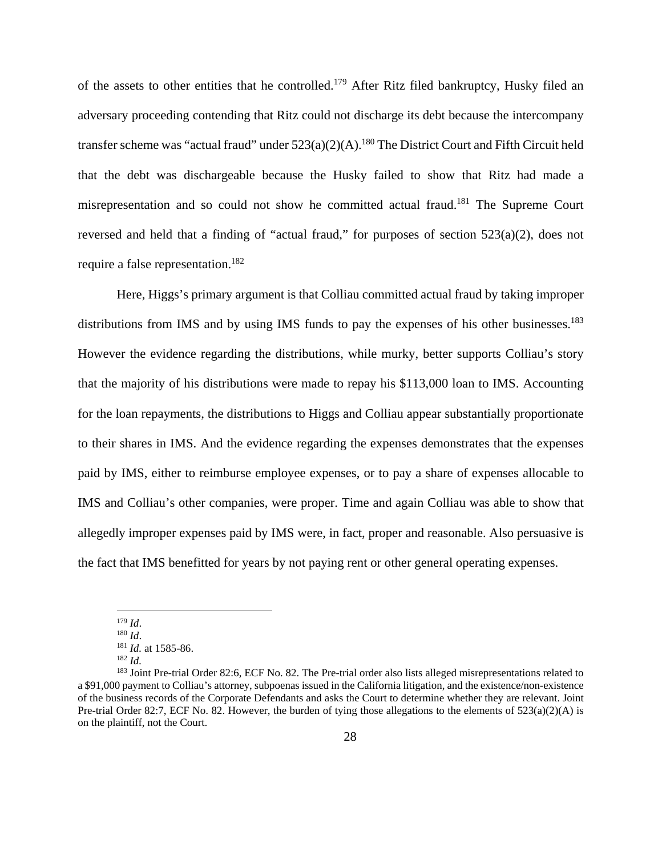of the assets to other entities that he controlled.<sup>179</sup> After Ritz filed bankruptcy, Husky filed an adversary proceeding contending that Ritz could not discharge its debt because the intercompany transfer scheme was "actual fraud" under  $523(a)(2)(A)$ .<sup>180</sup> The District Court and Fifth Circuit held that the debt was dischargeable because the Husky failed to show that Ritz had made a misrepresentation and so could not show he committed actual fraud.181 The Supreme Court reversed and held that a finding of "actual fraud," for purposes of section 523(a)(2), does not require a false representation.182

Here, Higgs's primary argument is that Colliau committed actual fraud by taking improper distributions from IMS and by using IMS funds to pay the expenses of his other businesses.<sup>183</sup> However the evidence regarding the distributions, while murky, better supports Colliau's story that the majority of his distributions were made to repay his \$113,000 loan to IMS. Accounting for the loan repayments, the distributions to Higgs and Colliau appear substantially proportionate to their shares in IMS. And the evidence regarding the expenses demonstrates that the expenses paid by IMS, either to reimburse employee expenses, or to pay a share of expenses allocable to IMS and Colliau's other companies, were proper. Time and again Colliau was able to show that allegedly improper expenses paid by IMS were, in fact, proper and reasonable. Also persuasive is the fact that IMS benefitted for years by not paying rent or other general operating expenses.

<sup>179</sup> *Id*. 180 *Id*.

<sup>181</sup> *Id.* at 1585-86. 182 *Id.*

<sup>&</sup>lt;sup>183</sup> Joint Pre-trial Order 82:6, ECF No. 82. The Pre-trial order also lists alleged misrepresentations related to a \$91,000 payment to Colliau's attorney, subpoenas issued in the California litigation, and the existence/non-existence of the business records of the Corporate Defendants and asks the Court to determine whether they are relevant. Joint Pre-trial Order 82:7, ECF No. 82. However, the burden of tying those allegations to the elements of  $523(a)(2)(A)$  is on the plaintiff, not the Court.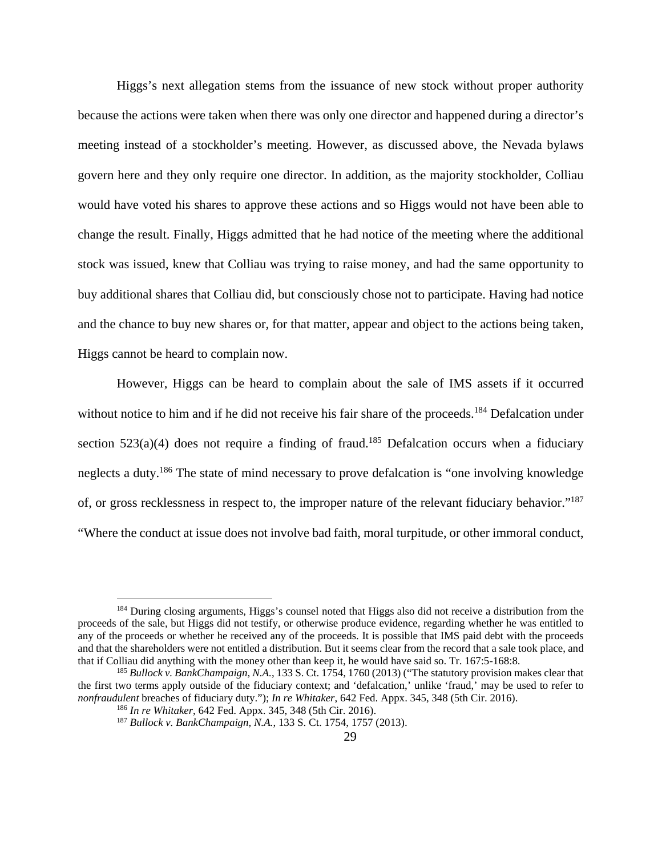Higgs's next allegation stems from the issuance of new stock without proper authority because the actions were taken when there was only one director and happened during a director's meeting instead of a stockholder's meeting. However, as discussed above, the Nevada bylaws govern here and they only require one director. In addition, as the majority stockholder, Colliau would have voted his shares to approve these actions and so Higgs would not have been able to change the result. Finally, Higgs admitted that he had notice of the meeting where the additional stock was issued, knew that Colliau was trying to raise money, and had the same opportunity to buy additional shares that Colliau did, but consciously chose not to participate. Having had notice and the chance to buy new shares or, for that matter, appear and object to the actions being taken, Higgs cannot be heard to complain now.

However, Higgs can be heard to complain about the sale of IMS assets if it occurred without notice to him and if he did not receive his fair share of the proceeds.<sup>184</sup> Defalcation under section 523(a)(4) does not require a finding of fraud.<sup>185</sup> Defalcation occurs when a fiduciary neglects a duty.186 The state of mind necessary to prove defalcation is "one involving knowledge of, or gross recklessness in respect to, the improper nature of the relevant fiduciary behavior."187 "Where the conduct at issue does not involve bad faith, moral turpitude, or other immoral conduct,

<sup>&</sup>lt;sup>184</sup> During closing arguments, Higgs's counsel noted that Higgs also did not receive a distribution from the proceeds of the sale, but Higgs did not testify, or otherwise produce evidence, regarding whether he was entitled to any of the proceeds or whether he received any of the proceeds. It is possible that IMS paid debt with the proceeds and that the shareholders were not entitled a distribution. But it seems clear from the record that a sale took place, and that if Colliau did anything with the money other than keep it, he would have said so. Tr. 167:5-168:8.<br><sup>185</sup> *Bullock v. BankChampaign, N.A.*, 133 S. Ct. 1754, 1760 (2013) ("The statutory provision makes clear that

the first two terms apply outside of the fiduciary context; and 'defalcation,' unlike 'fraud,' may be used to refer to nonfraudulent breaches of fiduciary duty."); In re Whitaker, 642 Fed. Appx. 345, 348 (5th Cir. 2016).<br><sup>186</sup> In re Whitaker, 642 Fed. Appx. 345, 348 (5th Cir. 2016).<br><sup>187</sup> Bullock v. BankChampaign, N.A., 133 S. Ct. 1754, 17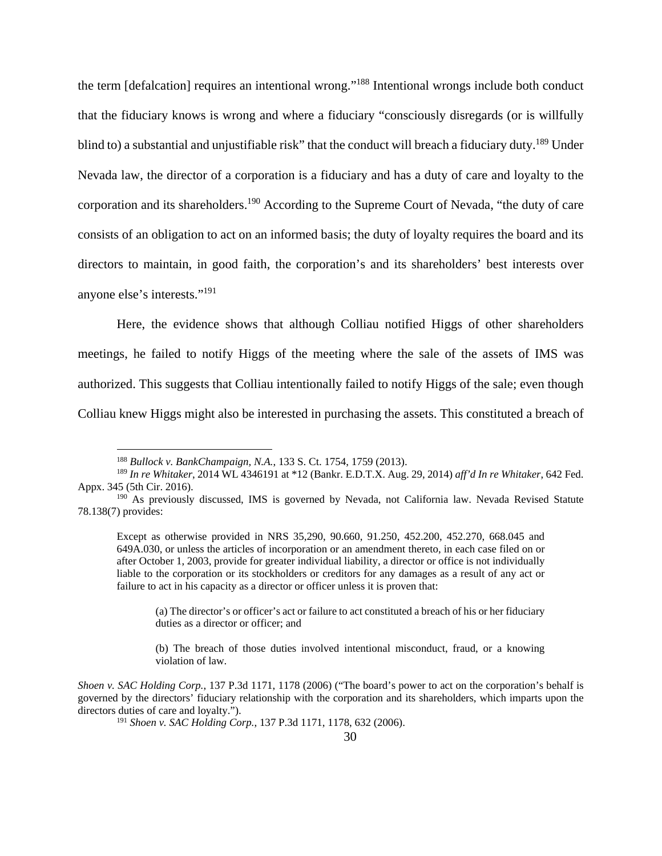the term [defalcation] requires an intentional wrong."188 Intentional wrongs include both conduct that the fiduciary knows is wrong and where a fiduciary "consciously disregards (or is willfully blind to) a substantial and unjustifiable risk" that the conduct will breach a fiduciary duty.<sup>189</sup> Under Nevada law, the director of a corporation is a fiduciary and has a duty of care and loyalty to the corporation and its shareholders.190 According to the Supreme Court of Nevada, "the duty of care consists of an obligation to act on an informed basis; the duty of loyalty requires the board and its directors to maintain, in good faith, the corporation's and its shareholders' best interests over anyone else's interests."191

Here, the evidence shows that although Colliau notified Higgs of other shareholders meetings, he failed to notify Higgs of the meeting where the sale of the assets of IMS was authorized. This suggests that Colliau intentionally failed to notify Higgs of the sale; even though Colliau knew Higgs might also be interested in purchasing the assets. This constituted a breach of

 $\overline{a}$ 

(a) The director's or officer's act or failure to act constituted a breach of his or her fiduciary duties as a director or officer; and

(b) The breach of those duties involved intentional misconduct, fraud, or a knowing violation of law.

<sup>188</sup> *Bullock v. BankChampaign, N.A.*, 133 S. Ct. 1754, 1759 (2013).

<sup>189</sup> *In re Whitaker*, 2014 WL 4346191 at \*12 (Bankr. E.D.T.X. Aug. 29, 2014) *aff'd In re Whitaker*, 642 Fed. Appx. 345 (5th Cir. 2016).

<sup>190</sup> As previously discussed, IMS is governed by Nevada, not California law. Nevada Revised Statute 78.138(7) provides:

Except as otherwise provided in NRS 35,290, 90.660, 91.250, 452.200, 452.270, 668.045 and 649A.030, or unless the articles of incorporation or an amendment thereto, in each case filed on or after October 1, 2003, provide for greater individual liability, a director or office is not individually liable to the corporation or its stockholders or creditors for any damages as a result of any act or failure to act in his capacity as a director or officer unless it is proven that:

*Shoen v. SAC Holding Corp.*, 137 P.3d 1171, 1178 (2006) ("The board's power to act on the corporation's behalf is governed by the directors' fiduciary relationship with the corporation and its shareholders, which imparts upon the directors duties of care and loyalty.").

<sup>191</sup> *Shoen v. SAC Holding Corp.*, 137 P.3d 1171, 1178, 632 (2006).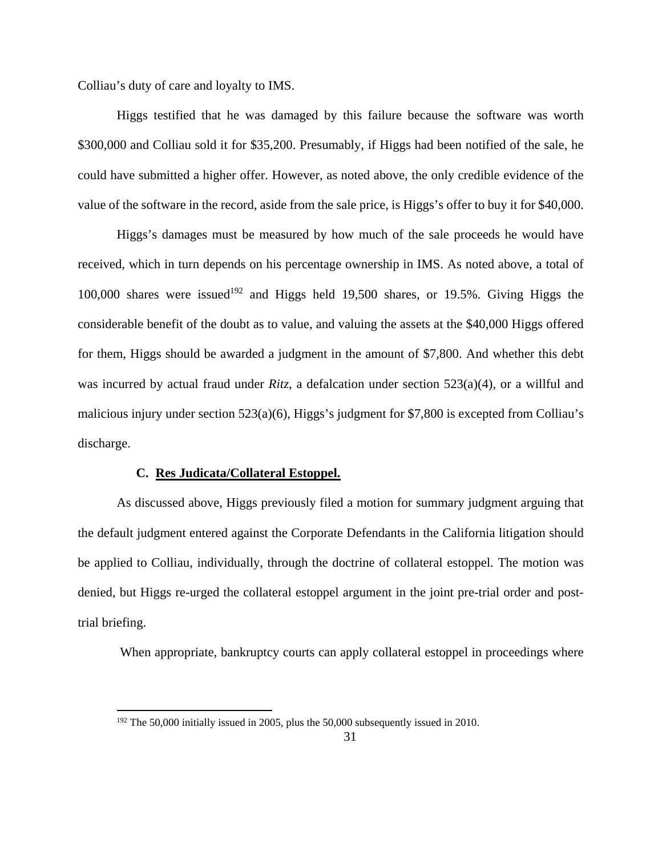Colliau's duty of care and loyalty to IMS.

Higgs testified that he was damaged by this failure because the software was worth \$300,000 and Colliau sold it for \$35,200. Presumably, if Higgs had been notified of the sale, he could have submitted a higher offer. However, as noted above, the only credible evidence of the value of the software in the record, aside from the sale price, is Higgs's offer to buy it for \$40,000.

Higgs's damages must be measured by how much of the sale proceeds he would have received, which in turn depends on his percentage ownership in IMS. As noted above, a total of 100,000 shares were issued<sup>192</sup> and Higgs held 19,500 shares, or 19.5%. Giving Higgs the considerable benefit of the doubt as to value, and valuing the assets at the \$40,000 Higgs offered for them, Higgs should be awarded a judgment in the amount of \$7,800. And whether this debt was incurred by actual fraud under *Ritz*, a defalcation under section 523(a)(4), or a willful and malicious injury under section 523(a)(6), Higgs's judgment for \$7,800 is excepted from Colliau's discharge.

#### **C. Res Judicata/Collateral Estoppel.**

 $\overline{a}$ 

As discussed above, Higgs previously filed a motion for summary judgment arguing that the default judgment entered against the Corporate Defendants in the California litigation should be applied to Colliau, individually, through the doctrine of collateral estoppel. The motion was denied, but Higgs re-urged the collateral estoppel argument in the joint pre-trial order and posttrial briefing.

When appropriate, bankruptcy courts can apply collateral estoppel in proceedings where

<sup>&</sup>lt;sup>192</sup> The 50,000 initially issued in 2005, plus the 50,000 subsequently issued in 2010.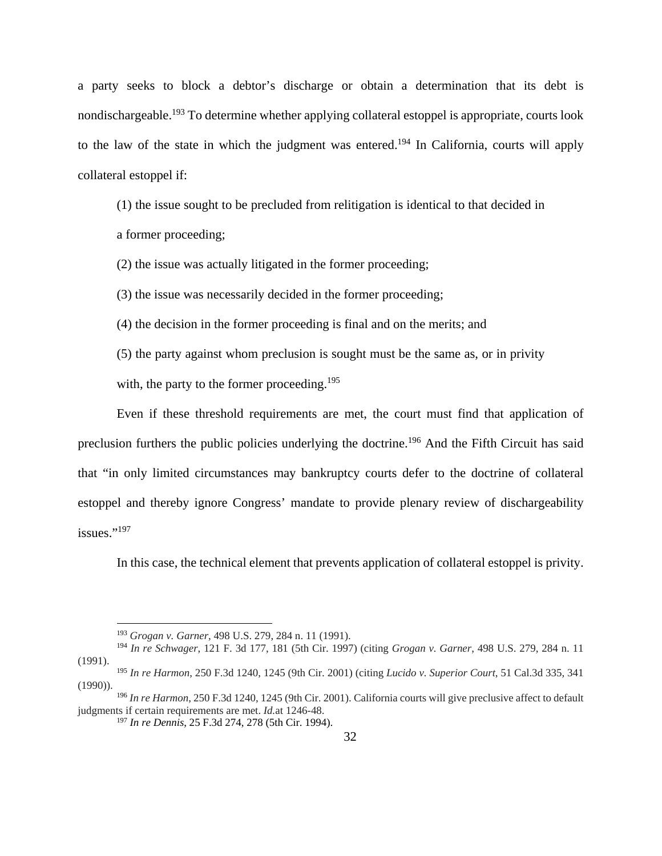a party seeks to block a debtor's discharge or obtain a determination that its debt is nondischargeable.<sup>193</sup> To determine whether applying collateral estoppel is appropriate, courts look to the law of the state in which the judgment was entered.<sup>194</sup> In California, courts will apply collateral estoppel if:

(1) the issue sought to be precluded from relitigation is identical to that decided in a former proceeding;

(2) the issue was actually litigated in the former proceeding;

(3) the issue was necessarily decided in the former proceeding;

(4) the decision in the former proceeding is final and on the merits; and

(5) the party against whom preclusion is sought must be the same as, or in privity

with, the party to the former proceeding.<sup>195</sup>

Even if these threshold requirements are met, the court must find that application of preclusion furthers the public policies underlying the doctrine.196 And the Fifth Circuit has said that "in only limited circumstances may bankruptcy courts defer to the doctrine of collateral estoppel and thereby ignore Congress' mandate to provide plenary review of dischargeability issues."<sup>197</sup>

In this case, the technical element that prevents application of collateral estoppel is privity.

<sup>193</sup> *Grogan v. Garner*, 498 U.S. 279, 284 n. 11 (1991).

<sup>194</sup> *In re Schwager*, 121 F. 3d 177, 181 (5th Cir. 1997) (citing *Grogan v. Garner*, 498 U.S. 279, 284 n. 11 (1991).

<sup>195</sup> *In re Harmon*, 250 F.3d 1240, 1245 (9th Cir. 2001) (citing *Lucido v. Superior Court*, 51 Cal.3d 335, 341 (1990)).

<sup>196</sup> *In re Harmon*, 250 F.3d 1240, 1245 (9th Cir. 2001). California courts will give preclusive affect to default judgments if certain requirements are met. *Id.*at 1246-48.

<sup>197</sup> *In re Dennis*, 25 F.3d 274, 278 (5th Cir. 1994).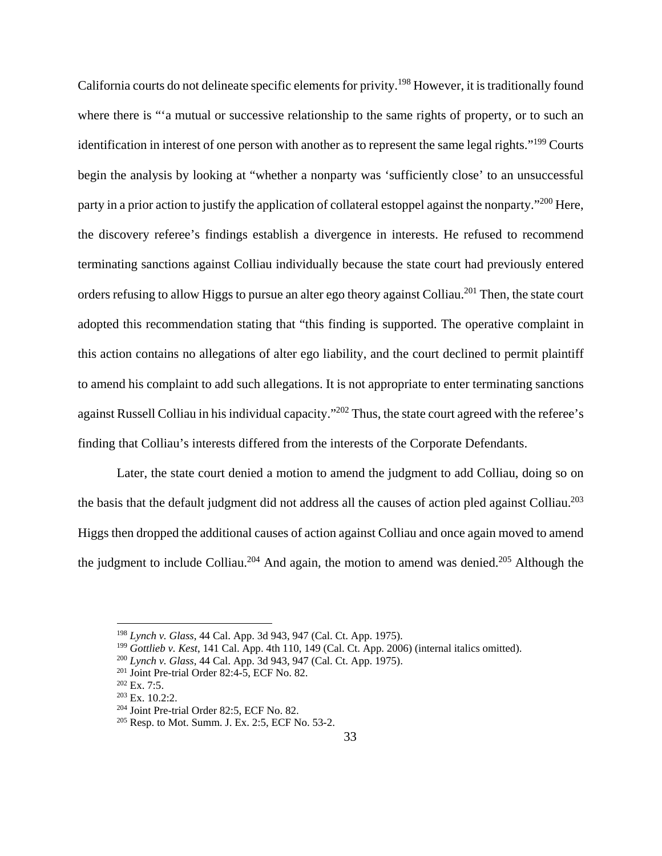California courts do not delineate specific elements for privity.198 However, it is traditionally found where there is "'a mutual or successive relationship to the same rights of property, or to such an identification in interest of one person with another as to represent the same legal rights."199 Courts begin the analysis by looking at "whether a nonparty was 'sufficiently close' to an unsuccessful party in a prior action to justify the application of collateral estoppel against the nonparty."<sup>200</sup> Here, the discovery referee's findings establish a divergence in interests. He refused to recommend terminating sanctions against Colliau individually because the state court had previously entered orders refusing to allow Higgs to pursue an alter ego theory against Colliau.<sup>201</sup> Then, the state court adopted this recommendation stating that "this finding is supported. The operative complaint in this action contains no allegations of alter ego liability, and the court declined to permit plaintiff to amend his complaint to add such allegations. It is not appropriate to enter terminating sanctions against Russell Colliau in his individual capacity."202 Thus, the state court agreed with the referee's finding that Colliau's interests differed from the interests of the Corporate Defendants.

Later, the state court denied a motion to amend the judgment to add Colliau, doing so on the basis that the default judgment did not address all the causes of action pled against Colliau.<sup>203</sup> Higgs then dropped the additional causes of action against Colliau and once again moved to amend the judgment to include Colliau.<sup>204</sup> And again, the motion to amend was denied.<sup>205</sup> Although the

<sup>198</sup> *Lynch v. Glass*, 44 Cal. App. 3d 943, 947 (Cal. Ct. App. 1975).

<sup>&</sup>lt;sup>199</sup> *Gottlieb v. Kest*, 141 Cal. App. 4th 110, 149 (Cal. Ct. App. 2006) (internal italics omitted).<br><sup>200</sup> *Lynch v. Glass*, 44 Cal. App. 3d 943, 947 (Cal. Ct. App. 1975).<br><sup>201</sup> Joint Pre-trial Order 82:4-5, ECF No. 82.

<sup>&</sup>lt;sup>202</sup> Ex. 7:5.<br><sup>203</sup> Ex. 10.2:2.<br><sup>204</sup> Joint Pre-trial Order 82:5, ECF No. 82.<br><sup>205</sup> Resp. to Mot. Summ. J. Ex. 2:5, ECF No. 53-2.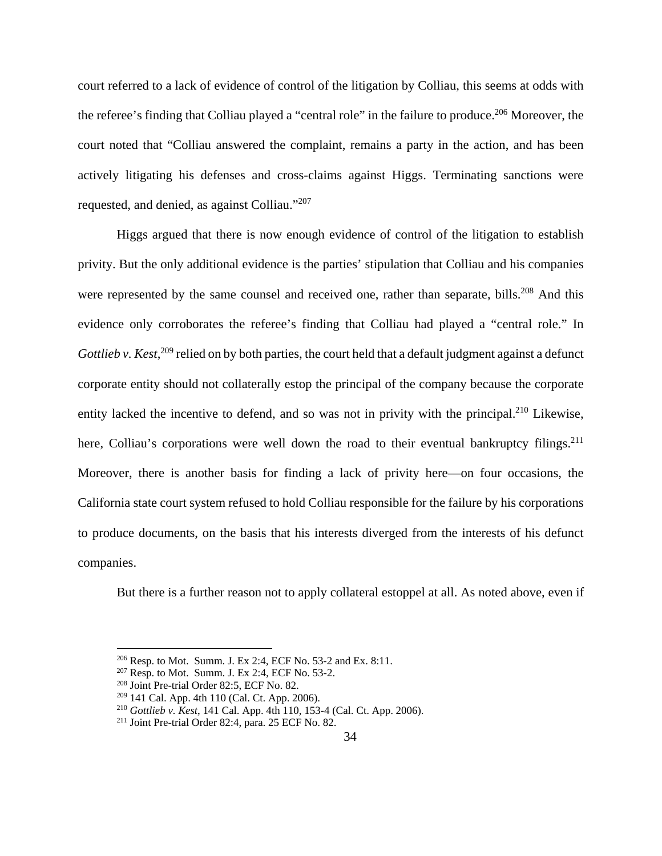court referred to a lack of evidence of control of the litigation by Colliau, this seems at odds with the referee's finding that Colliau played a "central role" in the failure to produce.<sup>206</sup> Moreover, the court noted that "Colliau answered the complaint, remains a party in the action, and has been actively litigating his defenses and cross-claims against Higgs. Terminating sanctions were requested, and denied, as against Colliau."207

Higgs argued that there is now enough evidence of control of the litigation to establish privity. But the only additional evidence is the parties' stipulation that Colliau and his companies were represented by the same counsel and received one, rather than separate, bills.<sup>208</sup> And this evidence only corroborates the referee's finding that Colliau had played a "central role." In Gottlieb v. Kest,<sup>209</sup> relied on by both parties, the court held that a default judgment against a defunct corporate entity should not collaterally estop the principal of the company because the corporate entity lacked the incentive to defend, and so was not in privity with the principal.<sup>210</sup> Likewise, here, Colliau's corporations were well down the road to their eventual bankruptcy filings.<sup>211</sup> Moreover, there is another basis for finding a lack of privity here—on four occasions, the California state court system refused to hold Colliau responsible for the failure by his corporations to produce documents, on the basis that his interests diverged from the interests of his defunct companies.

But there is a further reason not to apply collateral estoppel at all. As noted above, even if

<sup>&</sup>lt;sup>206</sup> Resp. to Mot. Summ. J. Ex 2:4, ECF No. 53-2 and Ex. 8:11.<br><sup>207</sup> Resp. to Mot. Summ. J. Ex 2:4, ECF No. 53-2.<br><sup>208</sup> Joint Pre-trial Order 82:5, ECF No. 82.

<sup>209 141</sup> Cal. App. 4th 110 (Cal. Ct. App. 2006). 210 *Gottlieb v. Kest*, 141 Cal. App. 4th 110, 153-4 (Cal. Ct. App. 2006). 211 Joint Pre-trial Order 82:4, para. 25 ECF No. 82.